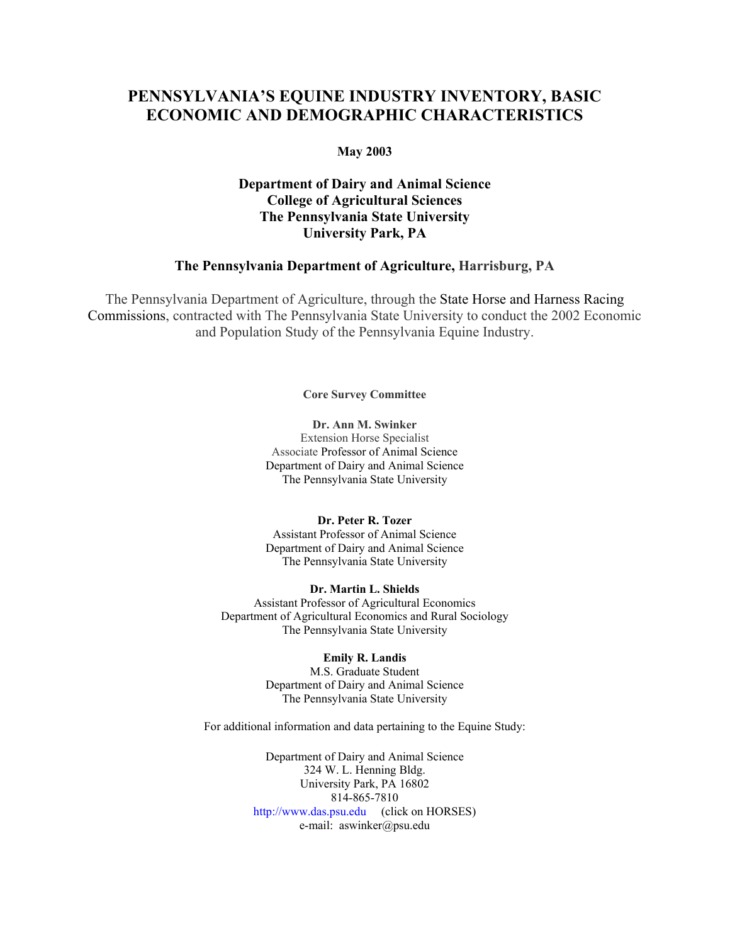# **PENNSYLVANIA'S EQUINE INDUSTRY INVENTORY, BASIC ECONOMIC AND DEMOGRAPHIC CHARACTERISTICS**

#### **May 2003**

## **Department of Dairy and Animal Science College of Agricultural Sciences The Pennsylvania State University University Park, PA**

#### **The Pennsylvania Department of Agriculture, Harrisburg, PA**

The Pennsylvania Department of Agriculture, through the State Horse and Harness Racing Commissions, contracted with The Pennsylvania State University to conduct the 2002 Economic and Population Study of the Pennsylvania Equine Industry.

**Core Survey Committee** 

**Dr. Ann M. Swinker**  Extension Horse Specialist Associate Professor of Animal Science Department of Dairy and Animal Science The Pennsylvania State University

**Dr. Peter R. Tozer**  Assistant Professor of Animal Science Department of Dairy and Animal Science The Pennsylvania State University

**Dr. Martin L. Shields**  Assistant Professor of Agricultural Economics Department of Agricultural Economics and Rural Sociology The Pennsylvania State University

**Emily R. Landis** 

M.S. Graduate Student Department of Dairy and Animal Science The Pennsylvania State University

For additional information and data pertaining to the Equine Study:

Department of Dairy and Animal Science 324 W. L. Henning Bldg. University Park, PA 16802 814-865-7810 http://www.das.psu.edu (click on HORSES) e-mail: aswinker@psu.edu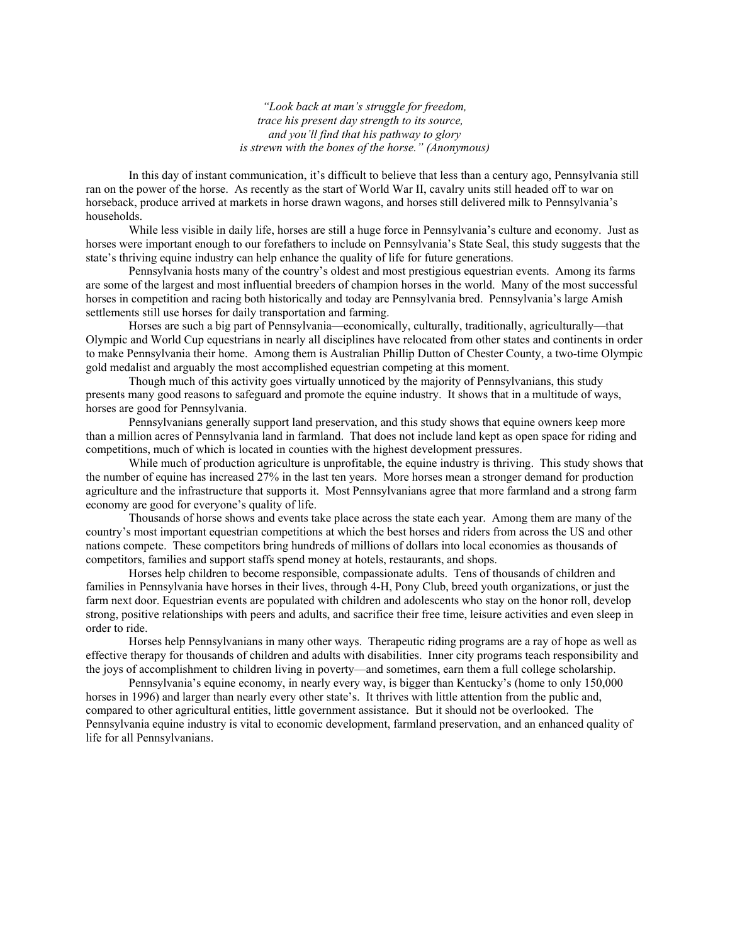*"Look back at man's struggle for freedom, trace his present day strength to its source, and you'll find that his pathway to glory is strewn with the bones of the horse." (Anonymous)* 

In this day of instant communication, it's difficult to believe that less than a century ago, Pennsylvania still ran on the power of the horse. As recently as the start of World War II, cavalry units still headed off to war on horseback, produce arrived at markets in horse drawn wagons, and horses still delivered milk to Pennsylvania's households.

While less visible in daily life, horses are still a huge force in Pennsylvania's culture and economy. Just as horses were important enough to our forefathers to include on Pennsylvania's State Seal, this study suggests that the state's thriving equine industry can help enhance the quality of life for future generations.

Pennsylvania hosts many of the country's oldest and most prestigious equestrian events. Among its farms are some of the largest and most influential breeders of champion horses in the world. Many of the most successful horses in competition and racing both historically and today are Pennsylvania bred. Pennsylvania's large Amish settlements still use horses for daily transportation and farming.

Horses are such a big part of Pennsylvania—economically, culturally, traditionally, agriculturally—that Olympic and World Cup equestrians in nearly all disciplines have relocated from other states and continents in order to make Pennsylvania their home. Among them is Australian Phillip Dutton of Chester County, a two-time Olympic gold medalist and arguably the most accomplished equestrian competing at this moment.

Though much of this activity goes virtually unnoticed by the majority of Pennsylvanians, this study presents many good reasons to safeguard and promote the equine industry. It shows that in a multitude of ways, horses are good for Pennsylvania.

Pennsylvanians generally support land preservation, and this study shows that equine owners keep more than a million acres of Pennsylvania land in farmland. That does not include land kept as open space for riding and competitions, much of which is located in counties with the highest development pressures.

While much of production agriculture is unprofitable, the equine industry is thriving. This study shows that the number of equine has increased 27% in the last ten years. More horses mean a stronger demand for production agriculture and the infrastructure that supports it. Most Pennsylvanians agree that more farmland and a strong farm economy are good for everyone's quality of life.

Thousands of horse shows and events take place across the state each year. Among them are many of the country's most important equestrian competitions at which the best horses and riders from across the US and other nations compete. These competitors bring hundreds of millions of dollars into local economies as thousands of competitors, families and support staffs spend money at hotels, restaurants, and shops.

Horses help children to become responsible, compassionate adults. Tens of thousands of children and families in Pennsylvania have horses in their lives, through 4-H, Pony Club, breed youth organizations, or just the farm next door. Equestrian events are populated with children and adolescents who stay on the honor roll, develop strong, positive relationships with peers and adults, and sacrifice their free time, leisure activities and even sleep in order to ride.

Horses help Pennsylvanians in many other ways. Therapeutic riding programs are a ray of hope as well as effective therapy for thousands of children and adults with disabilities. Inner city programs teach responsibility and the joys of accomplishment to children living in poverty—and sometimes, earn them a full college scholarship.

Pennsylvania's equine economy, in nearly every way, is bigger than Kentucky's (home to only 150,000 horses in 1996) and larger than nearly every other state's. It thrives with little attention from the public and, compared to other agricultural entities, little government assistance. But it should not be overlooked. The Pennsylvania equine industry is vital to economic development, farmland preservation, and an enhanced quality of life for all Pennsylvanians.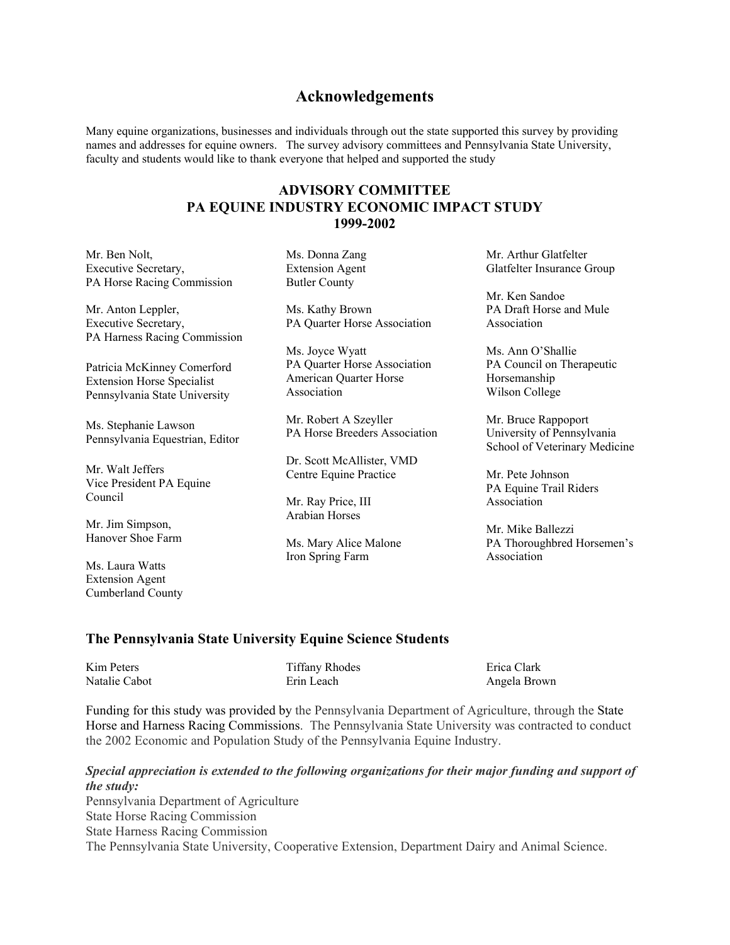## **Acknowledgements**

Many equine organizations, businesses and individuals through out the state supported this survey by providing names and addresses for equine owners. The survey advisory committees and Pennsylvania State University, faculty and students would like to thank everyone that helped and supported the study

## **ADVISORY COMMITTEE PA EQUINE INDUSTRY ECONOMIC IMPACT STUDY 1999-2002**

Mr. Ben Nolt, Ms. Donna Zang Mr. Arthur Glatfelter Executive Secretary, Extension Agent Glatfelter Insurance Group PA Horse Racing Commission Butler County

Executive Secretary, **PA Quarter Horse Association** Association PA Harness Racing Commission

Patricia McKinney Comerford Extension Horse Specialist Pennsylvania State University

Ms. Stephanie Lawson Pennsylvania Equestrian, Editor

Mr. Walt Jeffers Vice President PA Equine Council

Mr. Jim Simpson, Hanover Shoe Farm

Ms. Laura Watts Extension Agent Cumberland County

Mr. Anton Leppler, Ms. Kathy Brown PA Draft Horse and Mule

Ms. Joyce Wyatt Ms. Ann O'Shallie PA Quarter Horse Association American Quarter Horse Association

Mr. Robert A Szeyller PA Horse Breeders Association

Dr. Scott McAllister, VMD Centre Equine Practice

Mr. Ray Price, III Arabian Horses

Ms. Mary Alice Malone Iron Spring Farm Association

Mr. Ken Sandoe

PA Council on Therapeutic Horsemanship Wilson College

Mr. Bruce Rappoport University of Pennsylvania School of Veterinary Medicine

Mr. Pete Johnson PA Equine Trail Riders Association

Mr. Mike Ballezzi PA Thoroughbred Horsemen's

#### **The Pennsylvania State University Equine Science Students**

| Kim Peters    | <b>Tiffany Rhodes</b> | Erica Clark  |
|---------------|-----------------------|--------------|
| Natalie Cabot | Erin Leach            | Angela Brown |

Funding for this study was provided by the Pennsylvania Department of Agriculture, through the State Horse and Harness Racing Commissions. The Pennsylvania State University was contracted to conduct the 2002 Economic and Population Study of the Pennsylvania Equine Industry.

#### *Special appreciation is extended to the following organizations for their major funding and support of the study:*

Pennsylvania Department of Agriculture State Horse Racing Commission State Harness Racing Commission The Pennsylvania State University, Cooperative Extension, Department Dairy and Animal Science.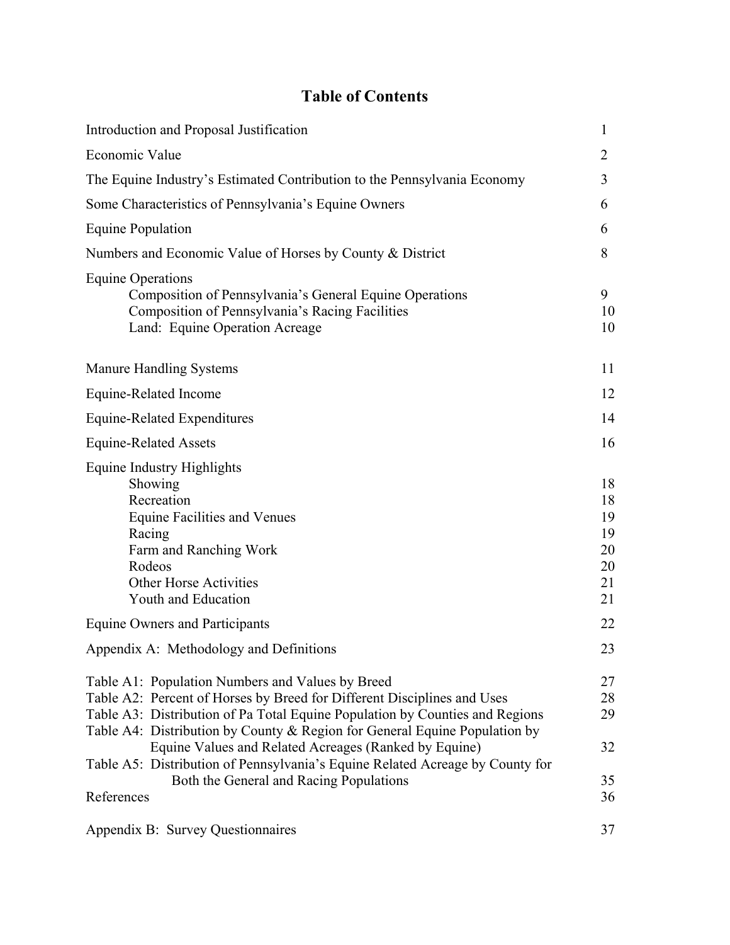# **Table of Contents**

| Introduction and Proposal Justification                                                                                                                                                                                                                                                                                                            | 1                                            |
|----------------------------------------------------------------------------------------------------------------------------------------------------------------------------------------------------------------------------------------------------------------------------------------------------------------------------------------------------|----------------------------------------------|
| Economic Value                                                                                                                                                                                                                                                                                                                                     | 2                                            |
| The Equine Industry's Estimated Contribution to the Pennsylvania Economy                                                                                                                                                                                                                                                                           | 3                                            |
| Some Characteristics of Pennsylvania's Equine Owners                                                                                                                                                                                                                                                                                               | 6                                            |
| <b>Equine Population</b>                                                                                                                                                                                                                                                                                                                           | 6                                            |
| Numbers and Economic Value of Horses by County & District                                                                                                                                                                                                                                                                                          | 8                                            |
| <b>Equine Operations</b><br>Composition of Pennsylvania's General Equine Operations<br>Composition of Pennsylvania's Racing Facilities<br>Land: Equine Operation Acreage                                                                                                                                                                           | 9<br>10<br>10                                |
| <b>Manure Handling Systems</b>                                                                                                                                                                                                                                                                                                                     | 11                                           |
| Equine-Related Income                                                                                                                                                                                                                                                                                                                              | 12                                           |
| <b>Equine-Related Expenditures</b>                                                                                                                                                                                                                                                                                                                 | 14                                           |
| <b>Equine-Related Assets</b>                                                                                                                                                                                                                                                                                                                       | 16                                           |
| Equine Industry Highlights<br>Showing<br>Recreation<br><b>Equine Facilities and Venues</b><br>Racing<br>Farm and Ranching Work<br>Rodeos<br>Other Horse Activities<br>Youth and Education                                                                                                                                                          | 18<br>18<br>19<br>19<br>20<br>20<br>21<br>21 |
| Equine Owners and Participants                                                                                                                                                                                                                                                                                                                     | 22                                           |
| Appendix A: Methodology and Definitions                                                                                                                                                                                                                                                                                                            | 23                                           |
| Table A1: Population Numbers and Values by Breed<br>Table A2: Percent of Horses by Breed for Different Disciplines and Uses<br>Table A3: Distribution of Pa Total Equine Population by Counties and Regions<br>Table A4: Distribution by County & Region for General Equine Population by<br>Equine Values and Related Acreages (Ranked by Equine) | 27<br>28<br>29<br>32                         |
| Table A5: Distribution of Pennsylvania's Equine Related Acreage by County for<br>Both the General and Racing Populations<br>References                                                                                                                                                                                                             | 35<br>36                                     |
| Appendix B: Survey Questionnaires                                                                                                                                                                                                                                                                                                                  | 37                                           |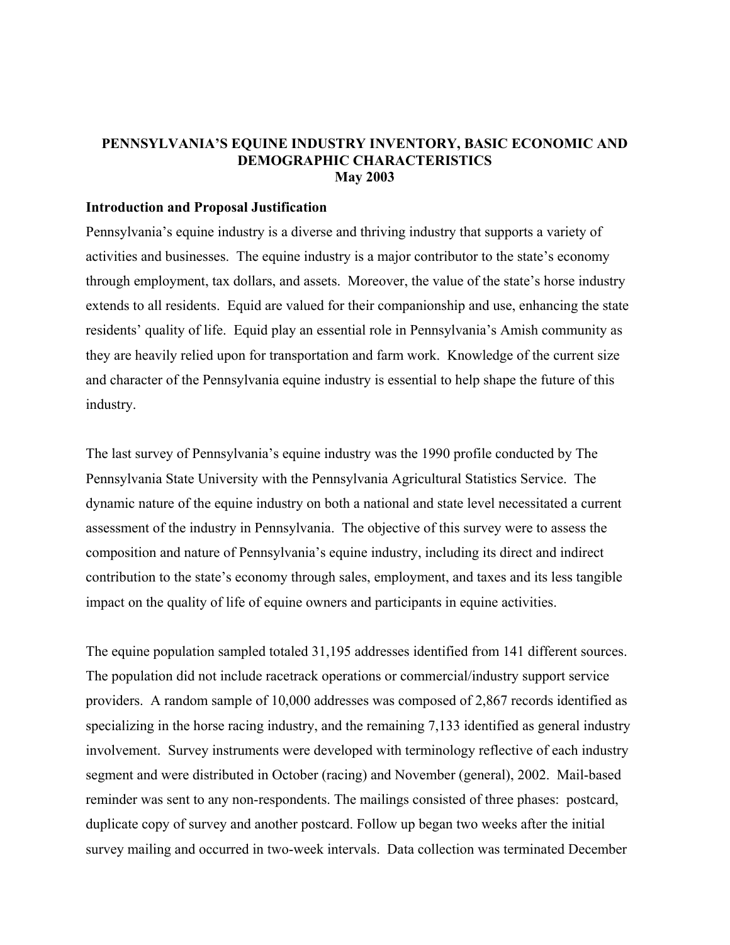## **PENNSYLVANIA'S EQUINE INDUSTRY INVENTORY, BASIC ECONOMIC AND DEMOGRAPHIC CHARACTERISTICS May 2003**

#### **Introduction and Proposal Justification**

Pennsylvania's equine industry is a diverse and thriving industry that supports a variety of activities and businesses. The equine industry is a major contributor to the state's economy through employment, tax dollars, and assets. Moreover, the value of the state's horse industry extends to all residents. Equid are valued for their companionship and use, enhancing the state residents' quality of life. Equid play an essential role in Pennsylvania's Amish community as they are heavily relied upon for transportation and farm work. Knowledge of the current size and character of the Pennsylvania equine industry is essential to help shape the future of this industry.

The last survey of Pennsylvania's equine industry was the 1990 profile conducted by The Pennsylvania State University with the Pennsylvania Agricultural Statistics Service. The dynamic nature of the equine industry on both a national and state level necessitated a current assessment of the industry in Pennsylvania. The objective of this survey were to assess the composition and nature of Pennsylvania's equine industry, including its direct and indirect contribution to the state's economy through sales, employment, and taxes and its less tangible impact on the quality of life of equine owners and participants in equine activities.

The equine population sampled totaled 31,195 addresses identified from 141 different sources. The population did not include racetrack operations or commercial/industry support service providers. A random sample of 10,000 addresses was composed of 2,867 records identified as specializing in the horse racing industry, and the remaining 7,133 identified as general industry involvement. Survey instruments were developed with terminology reflective of each industry segment and were distributed in October (racing) and November (general), 2002. Mail-based reminder was sent to any non-respondents. The mailings consisted of three phases: postcard, duplicate copy of survey and another postcard. Follow up began two weeks after the initial survey mailing and occurred in two-week intervals. Data collection was terminated December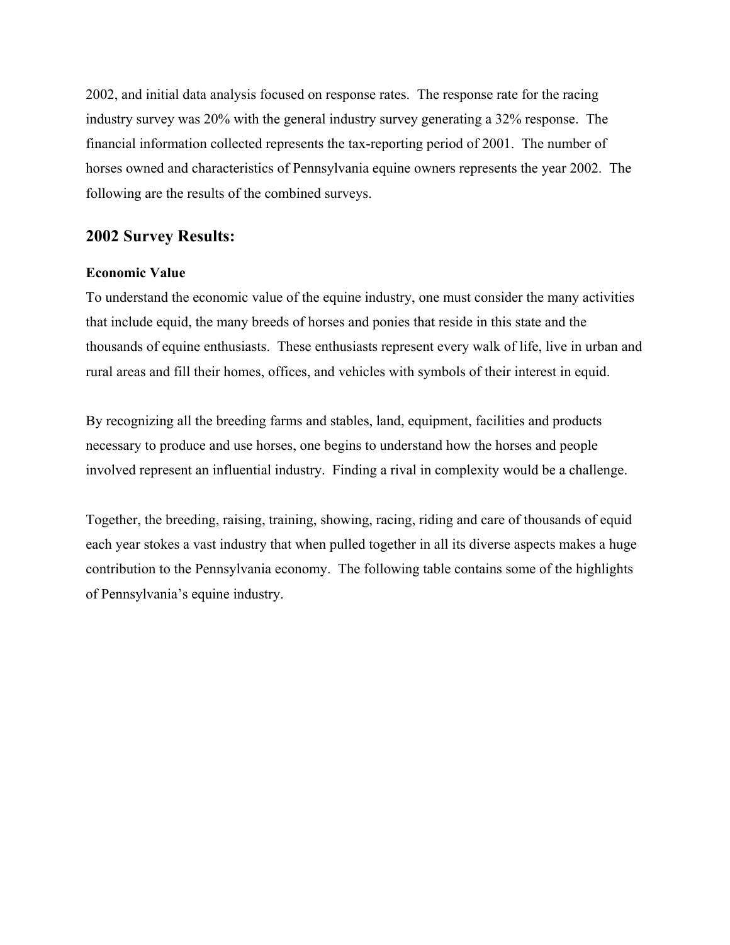2002, and initial data analysis focused on response rates. The response rate for the racing industry survey was 20% with the general industry survey generating a 32% response. The financial information collected represents the tax-reporting period of 2001. The number of horses owned and characteristics of Pennsylvania equine owners represents the year 2002. The following are the results of the combined surveys.

## **2002 Survey Results:**

## **Economic Value**

To understand the economic value of the equine industry, one must consider the many activities that include equid, the many breeds of horses and ponies that reside in this state and the thousands of equine enthusiasts. These enthusiasts represent every walk of life, live in urban and rural areas and fill their homes, offices, and vehicles with symbols of their interest in equid.

By recognizing all the breeding farms and stables, land, equipment, facilities and products necessary to produce and use horses, one begins to understand how the horses and people involved represent an influential industry. Finding a rival in complexity would be a challenge.

Together, the breeding, raising, training, showing, racing, riding and care of thousands of equid each year stokes a vast industry that when pulled together in all its diverse aspects makes a huge contribution to the Pennsylvania economy. The following table contains some of the highlights of Pennsylvania's equine industry.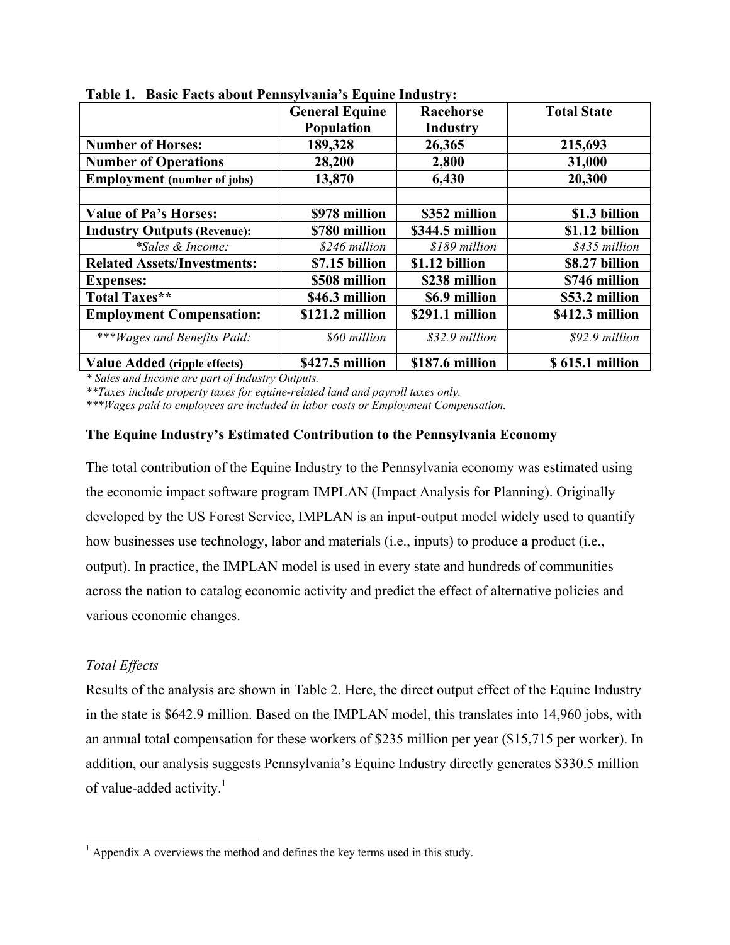|                                     | <b>General Equine</b><br><b>Population</b> | Racehorse<br>Industry | <b>Total State</b> |
|-------------------------------------|--------------------------------------------|-----------------------|--------------------|
| <b>Number of Horses:</b>            | 189,328                                    | 26,365                | 215,693            |
| <b>Number of Operations</b>         | 28,200                                     | 2,800                 | 31,000             |
| <b>Employment</b> (number of jobs)  | 13,870                                     | 6,430                 | 20,300             |
|                                     |                                            |                       |                    |
| <b>Value of Pa's Horses:</b>        | \$978 million                              | \$352 million         | \$1.3 billion      |
| <b>Industry Outputs (Revenue):</b>  | \$780 million                              | \$344.5 million       | \$1.12 billion     |
| *Sales & Income:                    | \$246 million                              | \$189 million         | \$435 million      |
| <b>Related Assets/Investments:</b>  | \$7.15 billion                             | \$1.12 billion        | \$8.27 billion     |
| <b>Expenses:</b>                    | \$508 million                              | \$238 million         | \$746 million      |
| Total Taxes**                       | \$46.3 million                             | \$6.9 million         | \$53.2 million     |
| <b>Employment Compensation:</b>     | \$121.2 million                            | \$291.1 million       | \$412.3 million    |
| ***Wages and Benefits Paid:         | \$60 million                               | \$32.9 million        | \$92.9 million     |
| <b>Value Added (ripple effects)</b> | \$427.5 million                            | \$187.6 million       | \$615.1 million    |

**Table 1. Basic Facts about Pennsylvania's Equine Industry:** 

*\* Sales and Income are part of Industry Outputs.* 

*\*\*Taxes include property taxes for equine-related land and payroll taxes only.* 

*\*\*\*Wages paid to employees are included in labor costs or Employment Compensation.*

## **The Equine Industry's Estimated Contribution to the Pennsylvania Economy**

The total contribution of the Equine Industry to the Pennsylvania economy was estimated using the economic impact software program IMPLAN (Impact Analysis for Planning). Originally developed by the US Forest Service, IMPLAN is an input-output model widely used to quantify how businesses use technology, labor and materials (i.e., inputs) to produce a product (i.e., output). In practice, the IMPLAN model is used in every state and hundreds of communities across the nation to catalog economic activity and predict the effect of alternative policies and various economic changes.

## *Total Effects*

Results of the analysis are shown in Table 2. Here, the direct output effect of the Equine Industry in the state is \$642.9 million. Based on the IMPLAN model, this translates into 14,960 jobs, with an annual total compensation for these workers of \$235 million per year (\$15,715 per worker). In addition, our analysis suggests Pennsylvania's Equine Industry directly generates \$330.5 million of value-added activity. $\frac{1}{1}$ 

<sup>&</sup>lt;sup>1</sup> Appendix A overviews the method and defines the key terms used in this study.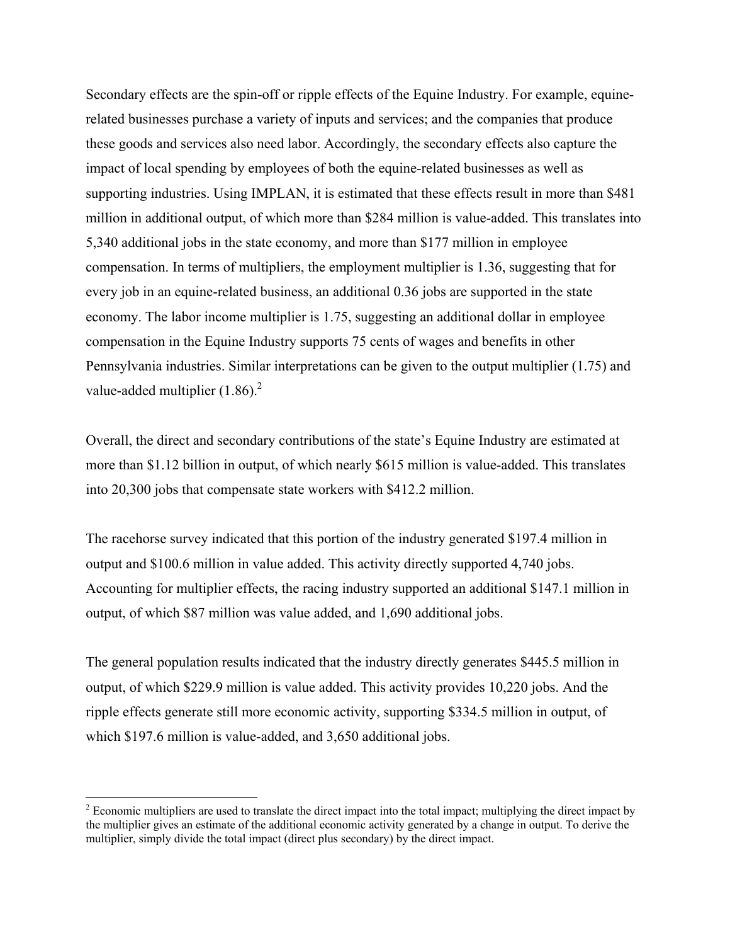Secondary effects are the spin-off or ripple effects of the Equine Industry. For example, equinerelated businesses purchase a variety of inputs and services; and the companies that produce these goods and services also need labor. Accordingly, the secondary effects also capture the impact of local spending by employees of both the equine-related businesses as well as supporting industries. Using IMPLAN, it is estimated that these effects result in more than \$481 million in additional output, of which more than \$284 million is value-added. This translates into 5,340 additional jobs in the state economy, and more than \$177 million in employee compensation. In terms of multipliers, the employment multiplier is 1.36, suggesting that for every job in an equine-related business, an additional 0.36 jobs are supported in the state economy. The labor income multiplier is 1.75, suggesting an additional dollar in employee compensation in the Equine Industry supports 75 cents of wages and benefits in other Pennsylvania industries. Similar interpretations can be given to the output multiplier (1.75) and value-added multiplier  $(1.86)$ .<sup>2</sup>

Overall, the direct and secondary contributions of the state's Equine Industry are estimated at more than \$1.12 billion in output, of which nearly \$615 million is value-added. This translates into 20,300 jobs that compensate state workers with \$412.2 million.

The racehorse survey indicated that this portion of the industry generated \$197.4 million in output and \$100.6 million in value added. This activity directly supported 4,740 jobs. Accounting for multiplier effects, the racing industry supported an additional \$147.1 million in output, of which \$87 million was value added, and 1,690 additional jobs.

The general population results indicated that the industry directly generates \$445.5 million in output, of which \$229.9 million is value added. This activity provides 10,220 jobs. And the ripple effects generate still more economic activity, supporting \$334.5 million in output, of which \$197.6 million is value-added, and 3,650 additional jobs.

 $2^2$  Economic multipliers are used to translate the direct impact into the total impact; multiplying the direct impact by the multiplier gives an estimate of the additional economic activity generated by a change in output. To derive the multiplier, simply divide the total impact (direct plus secondary) by the direct impact.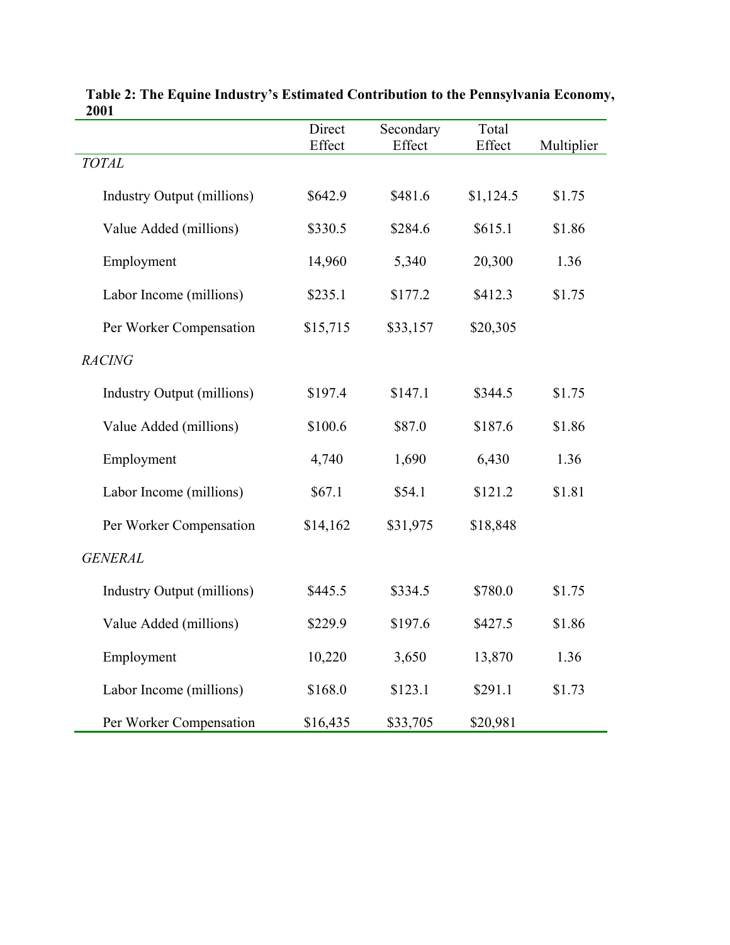|                                   | Direct   | Secondary | Total     |            |
|-----------------------------------|----------|-----------|-----------|------------|
| <b>TOTAL</b>                      | Effect   | Effect    | Effect    | Multiplier |
| <b>Industry Output (millions)</b> | \$642.9  | \$481.6   | \$1,124.5 | \$1.75     |
| Value Added (millions)            | \$330.5  | \$284.6   | \$615.1   | \$1.86     |
| Employment                        | 14,960   | 5,340     | 20,300    | 1.36       |
| Labor Income (millions)           | \$235.1  | \$177.2   | \$412.3   | \$1.75     |
| Per Worker Compensation           | \$15,715 | \$33,157  | \$20,305  |            |
| <b>RACING</b>                     |          |           |           |            |
| <b>Industry Output (millions)</b> | \$197.4  | \$147.1   | \$344.5   | \$1.75     |
| Value Added (millions)            | \$100.6  | \$87.0    | \$187.6   | \$1.86     |
| Employment                        | 4,740    | 1,690     | 6,430     | 1.36       |
| Labor Income (millions)           | \$67.1   | \$54.1    | \$121.2   | \$1.81     |
| Per Worker Compensation           | \$14,162 | \$31,975  | \$18,848  |            |
| <b>GENERAL</b>                    |          |           |           |            |
| <b>Industry Output (millions)</b> | \$445.5  | \$334.5   | \$780.0   | \$1.75     |
| Value Added (millions)            | \$229.9  | \$197.6   | \$427.5   | \$1.86     |
| Employment                        | 10,220   | 3,650     | 13,870    | 1.36       |
| Labor Income (millions)           | \$168.0  | \$123.1   | \$291.1   | \$1.73     |
| Per Worker Compensation           | \$16,435 | \$33,705  | \$20,981  |            |

| Table 2: The Equine Industry's Estimated Contribution to the Pennsylvania Economy, |  |
|------------------------------------------------------------------------------------|--|
| 2001                                                                               |  |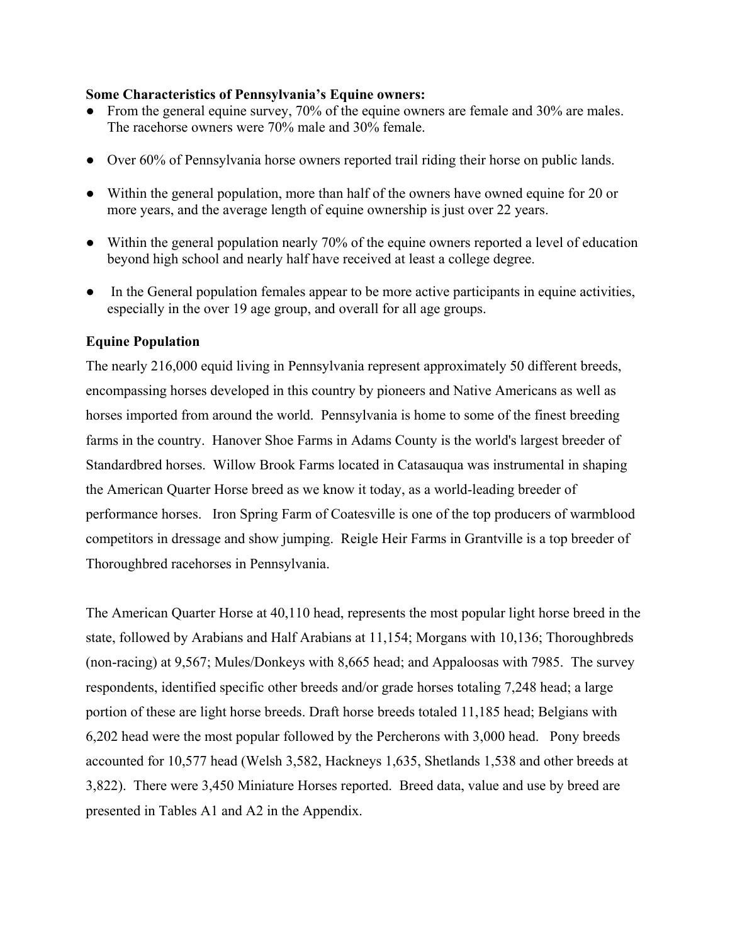#### **Some Characteristics of Pennsylvania's Equine owners:**

- From the general equine survey, 70% of the equine owners are female and 30% are males. The racehorse owners were 70% male and 30% female.
- Over 60% of Pennsylvania horse owners reported trail riding their horse on public lands.
- Within the general population, more than half of the owners have owned equine for 20 or more years, and the average length of equine ownership is just over 22 years.
- Within the general population nearly 70% of the equine owners reported a level of education beyond high school and nearly half have received at least a college degree.
- In the General population females appear to be more active participants in equine activities, especially in the over 19 age group, and overall for all age groups.

## **Equine Population**

The nearly 216,000 equid living in Pennsylvania represent approximately 50 different breeds, encompassing horses developed in this country by pioneers and Native Americans as well as horses imported from around the world. Pennsylvania is home to some of the finest breeding farms in the country. Hanover Shoe Farms in Adams County is the world's largest breeder of Standardbred horses. Willow Brook Farms located in Catasauqua was instrumental in shaping the American Quarter Horse breed as we know it today, as a world-leading breeder of performance horses. Iron Spring Farm of Coatesville is one of the top producers of warmblood competitors in dressage and show jumping. Reigle Heir Farms in Grantville is a top breeder of Thoroughbred racehorses in Pennsylvania.

The American Quarter Horse at 40,110 head, represents the most popular light horse breed in the state, followed by Arabians and Half Arabians at 11,154; Morgans with 10,136; Thoroughbreds (non-racing) at 9,567; Mules/Donkeys with 8,665 head; and Appaloosas with 7985. The survey respondents, identified specific other breeds and/or grade horses totaling 7,248 head; a large portion of these are light horse breeds. Draft horse breeds totaled 11,185 head; Belgians with 6,202 head were the most popular followed by the Percherons with 3,000 head. Pony breeds accounted for 10,577 head (Welsh 3,582, Hackneys 1,635, Shetlands 1,538 and other breeds at 3,822). There were 3,450 Miniature Horses reported. Breed data, value and use by breed are presented in Tables A1 and A2 in the Appendix.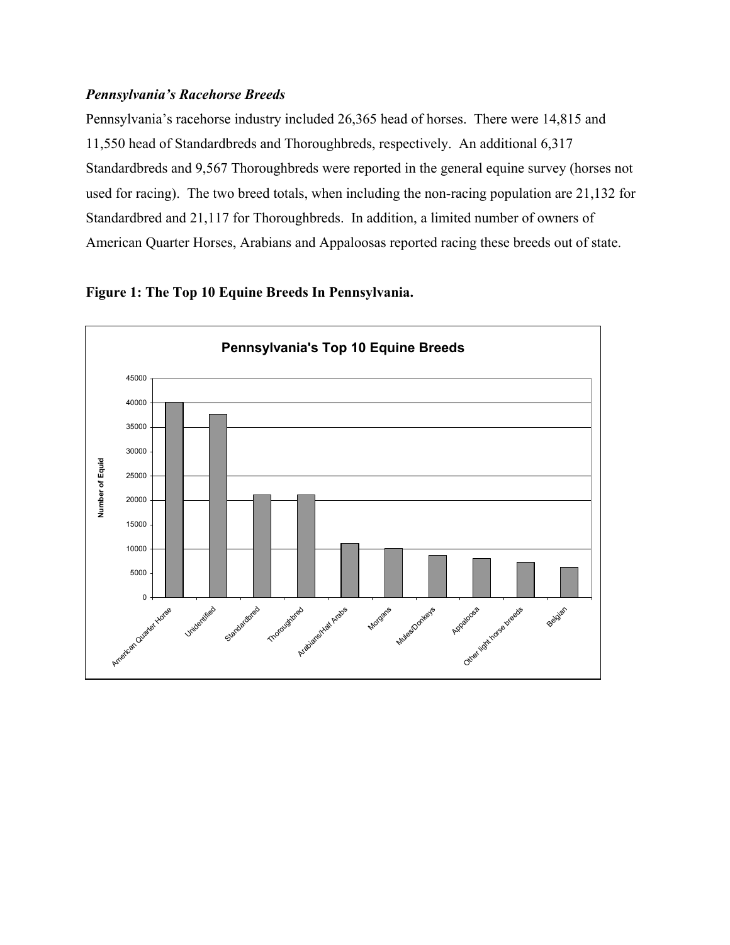## *Pennsylvania's Racehorse Breeds*

Pennsylvania's racehorse industry included 26,365 head of horses. There were 14,815 and 11,550 head of Standardbreds and Thoroughbreds, respectively. An additional 6,317 Standardbreds and 9,567 Thoroughbreds were reported in the general equine survey (horses not used for racing). The two breed totals, when including the non-racing population are 21,132 for Standardbred and 21,117 for Thoroughbreds. In addition, a limited number of owners of American Quarter Horses, Arabians and Appaloosas reported racing these breeds out of state.



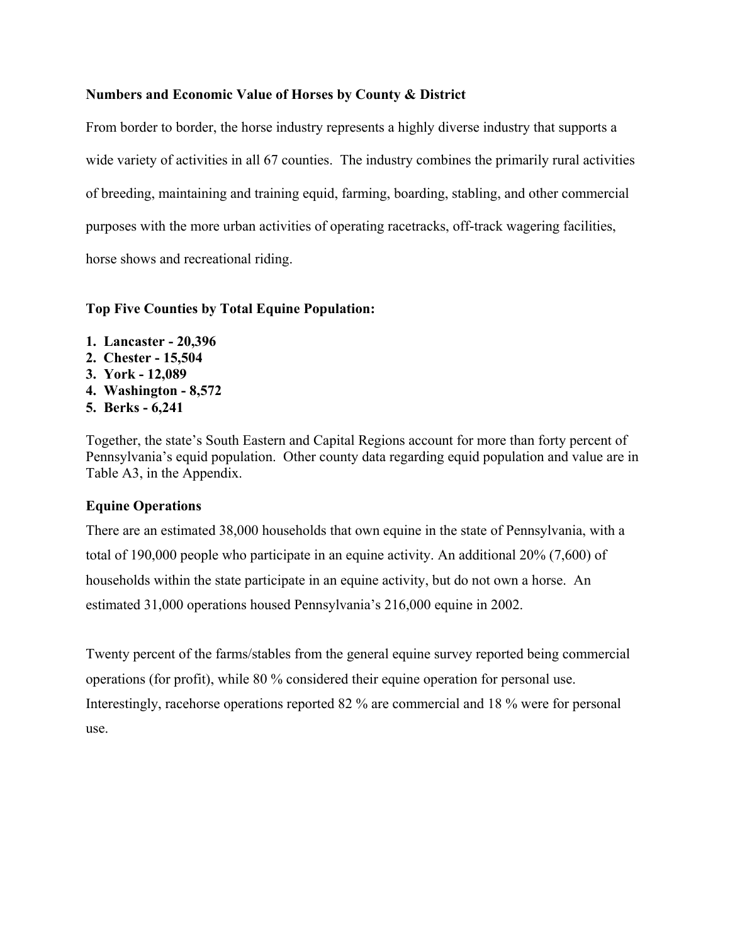## **Numbers and Economic Value of Horses by County & District**

From border to border, the horse industry represents a highly diverse industry that supports a wide variety of activities in all 67 counties. The industry combines the primarily rural activities of breeding, maintaining and training equid, farming, boarding, stabling, and other commercial purposes with the more urban activities of operating racetracks, off-track wagering facilities, horse shows and recreational riding.

## **Top Five Counties by Total Equine Population:**

- **1. Lancaster 20,396**
- **2. Chester 15,504**
- **3. York 12,089**
- **4. Washington 8,572**
- **5. Berks 6,241**

Together, the state's South Eastern and Capital Regions account for more than forty percent of Pennsylvania's equid population. Other county data regarding equid population and value are in Table A3, in the Appendix.

## **Equine Operations**

There are an estimated 38,000 households that own equine in the state of Pennsylvania, with a total of 190,000 people who participate in an equine activity. An additional 20% (7,600) of households within the state participate in an equine activity, but do not own a horse. An estimated 31,000 operations housed Pennsylvania's 216,000 equine in 2002.

Twenty percent of the farms/stables from the general equine survey reported being commercial operations (for profit), while 80 % considered their equine operation for personal use. Interestingly, racehorse operations reported 82 % are commercial and 18 % were for personal use.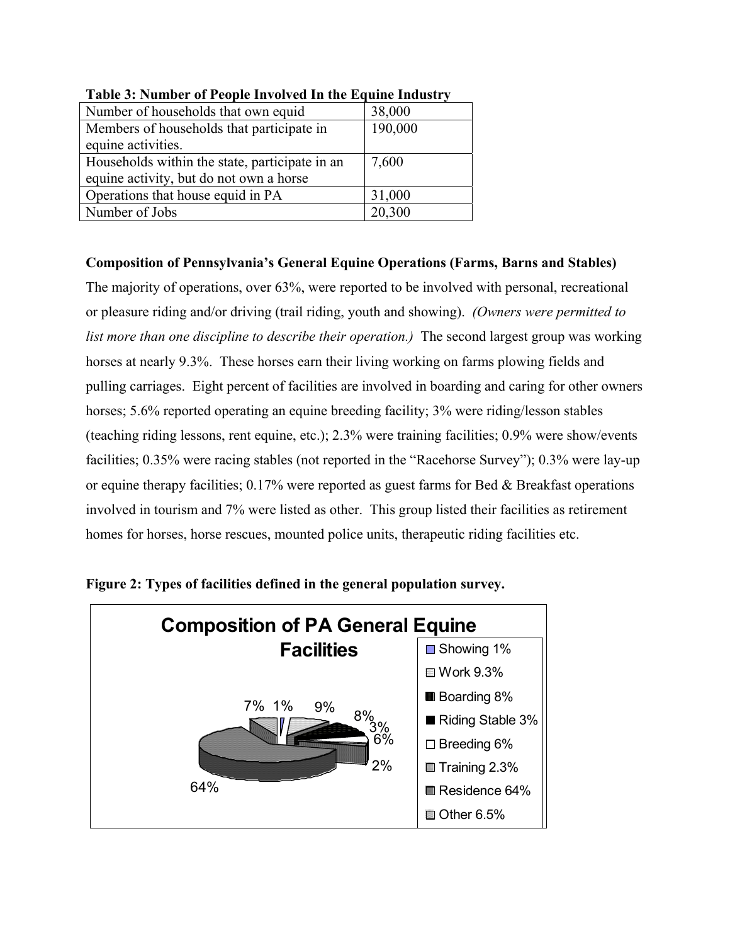| Number of households that own equid            | 38,000  |
|------------------------------------------------|---------|
| Members of households that participate in      | 190,000 |
| equine activities.                             |         |
| Households within the state, participate in an | 7,600   |
| equine activity, but do not own a horse        |         |
| Operations that house equid in PA              | 31,000  |
| Number of Jobs                                 | 20,300  |

**Table 3: Number of People Involved In the Equine Industry** 

## **Composition of Pennsylvania's General Equine Operations (Farms, Barns and Stables)**

The majority of operations, over 63%, were reported to be involved with personal, recreational or pleasure riding and/or driving (trail riding, youth and showing). *(Owners were permitted to list more than one discipline to describe their operation.*) The second largest group was working horses at nearly 9.3%. These horses earn their living working on farms plowing fields and pulling carriages. Eight percent of facilities are involved in boarding and caring for other owners horses; 5.6% reported operating an equine breeding facility; 3% were riding/lesson stables (teaching riding lessons, rent equine, etc.); 2.3% were training facilities; 0.9% were show/events facilities; 0.35% were racing stables (not reported in the "Racehorse Survey"); 0.3% were lay-up or equine therapy facilities; 0.17% were reported as guest farms for Bed & Breakfast operations involved in tourism and 7% were listed as other. This group listed their facilities as retirement homes for horses, horse rescues, mounted police units, therapeutic riding facilities etc.



**Figure 2: Types of facilities defined in the general population survey.**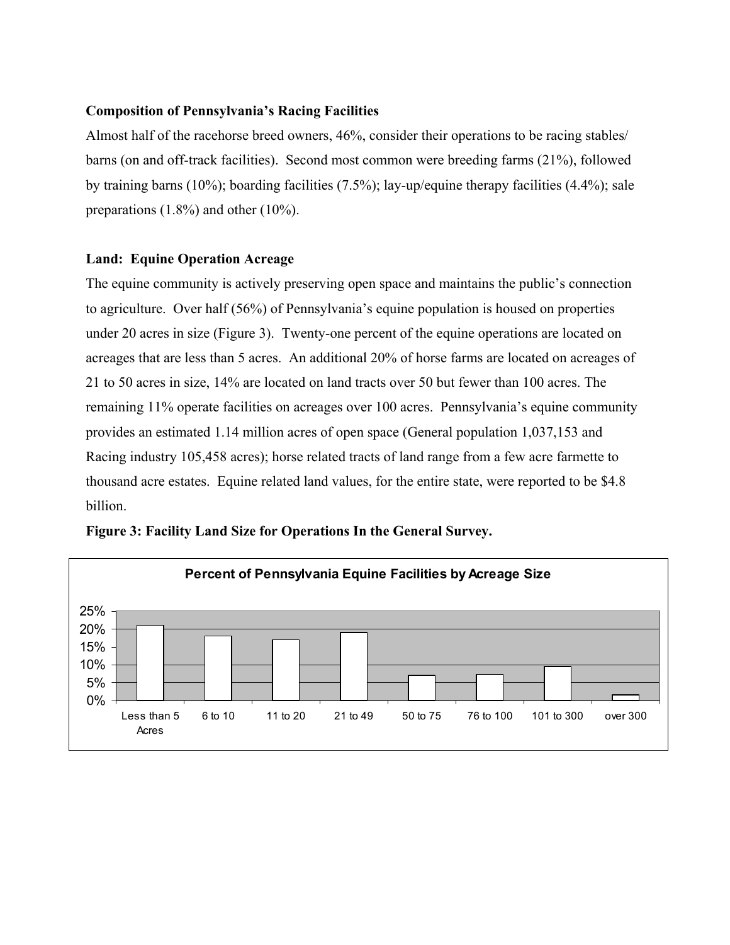## **Composition of Pennsylvania's Racing Facilities**

Almost half of the racehorse breed owners, 46%, consider their operations to be racing stables/ barns (on and off-track facilities). Second most common were breeding farms (21%), followed by training barns (10%); boarding facilities (7.5%); lay-up/equine therapy facilities (4.4%); sale preparations (1.8%) and other (10%).

## **Land: Equine Operation Acreage**

The equine community is actively preserving open space and maintains the public's connection to agriculture. Over half (56%) of Pennsylvania's equine population is housed on properties under 20 acres in size (Figure 3). Twenty-one percent of the equine operations are located on acreages that are less than 5 acres. An additional 20% of horse farms are located on acreages of 21 to 50 acres in size, 14% are located on land tracts over 50 but fewer than 100 acres. The remaining 11% operate facilities on acreages over 100 acres. Pennsylvania's equine community provides an estimated 1.14 million acres of open space (General population 1,037,153 and Racing industry 105,458 acres); horse related tracts of land range from a few acre farmette to thousand acre estates. Equine related land values, for the entire state, were reported to be \$4.8 billion.



**Figure 3: Facility Land Size for Operations In the General Survey.**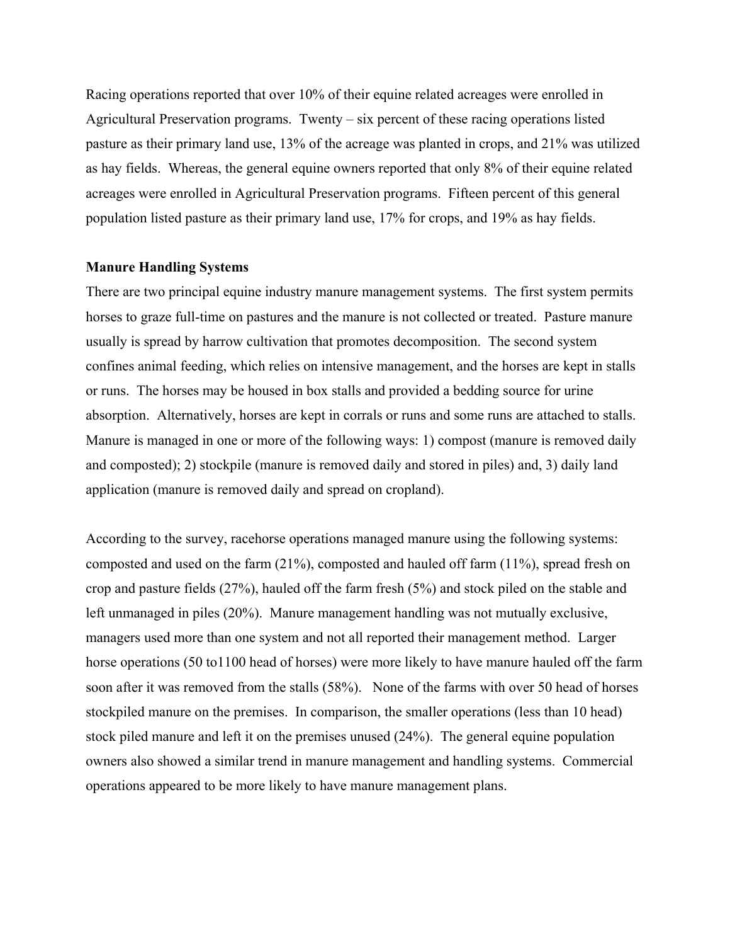Racing operations reported that over 10% of their equine related acreages were enrolled in Agricultural Preservation programs. Twenty – six percent of these racing operations listed pasture as their primary land use, 13% of the acreage was planted in crops, and 21% was utilized as hay fields. Whereas, the general equine owners reported that only 8% of their equine related acreages were enrolled in Agricultural Preservation programs. Fifteen percent of this general population listed pasture as their primary land use, 17% for crops, and 19% as hay fields.

#### **Manure Handling Systems**

There are two principal equine industry manure management systems. The first system permits horses to graze full-time on pastures and the manure is not collected or treated. Pasture manure usually is spread by harrow cultivation that promotes decomposition. The second system confines animal feeding, which relies on intensive management, and the horses are kept in stalls or runs. The horses may be housed in box stalls and provided a bedding source for urine absorption. Alternatively, horses are kept in corrals or runs and some runs are attached to stalls. Manure is managed in one or more of the following ways: 1) compost (manure is removed daily and composted); 2) stockpile (manure is removed daily and stored in piles) and, 3) daily land application (manure is removed daily and spread on cropland).

According to the survey, racehorse operations managed manure using the following systems: composted and used on the farm (21%), composted and hauled off farm (11%), spread fresh on crop and pasture fields (27%), hauled off the farm fresh (5%) and stock piled on the stable and left unmanaged in piles (20%). Manure management handling was not mutually exclusive, managers used more than one system and not all reported their management method. Larger horse operations (50 to1100 head of horses) were more likely to have manure hauled off the farm soon after it was removed from the stalls (58%). None of the farms with over 50 head of horses stockpiled manure on the premises. In comparison, the smaller operations (less than 10 head) stock piled manure and left it on the premises unused (24%). The general equine population owners also showed a similar trend in manure management and handling systems. Commercial operations appeared to be more likely to have manure management plans.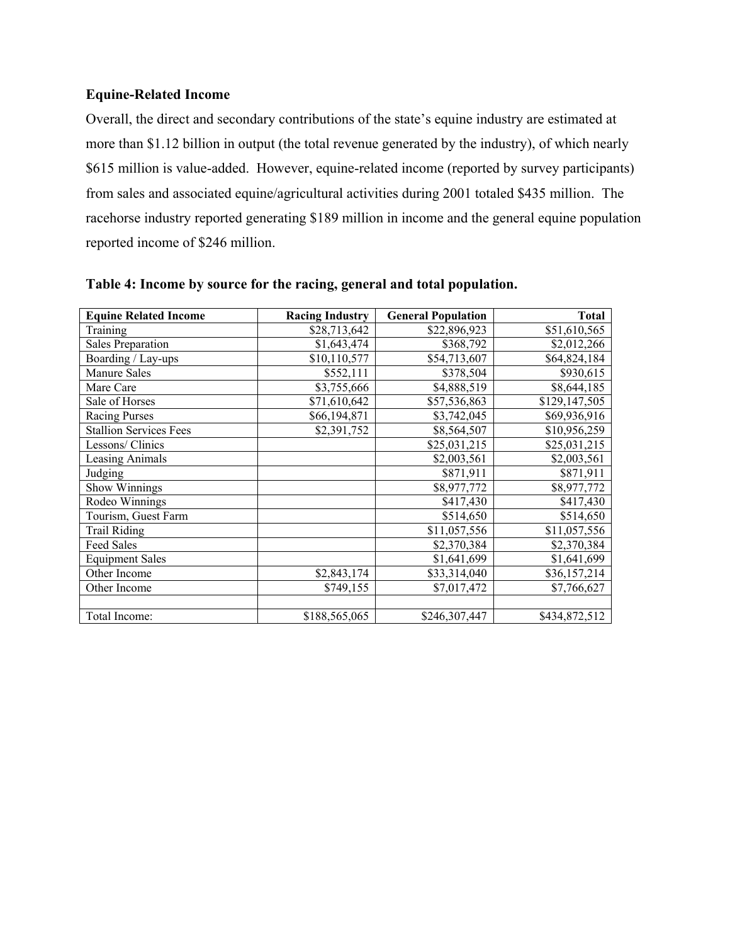## **Equine-Related Income**

Overall, the direct and secondary contributions of the state's equine industry are estimated at more than \$1.12 billion in output (the total revenue generated by the industry), of which nearly \$615 million is value-added. However, equine-related income (reported by survey participants) from sales and associated equine/agricultural activities during 2001 totaled \$435 million. The racehorse industry reported generating \$189 million in income and the general equine population reported income of \$246 million.

| <b>Equine Related Income</b>  | <b>Racing Industry</b> | <b>General Population</b> | <b>Total</b>  |
|-------------------------------|------------------------|---------------------------|---------------|
| Training                      | \$28,713,642           | \$22,896,923              | \$51,610,565  |
| Sales Preparation             | \$1,643,474            | \$368,792                 | \$2,012,266   |
| Boarding / Lay-ups            | \$10,110,577           | \$54,713,607              | \$64,824,184  |
| Manure Sales                  | \$552,111              | \$378,504                 | \$930,615     |
| Mare Care                     | \$3,755,666            | \$4,888,519               | \$8,644,185   |
| Sale of Horses                | \$71,610,642           | \$57,536,863              | \$129,147,505 |
| <b>Racing Purses</b>          | \$66,194,871           | \$3,742,045               | \$69,936,916  |
| <b>Stallion Services Fees</b> | \$2,391,752            | \$8,564,507               | \$10,956,259  |
| Lessons/ Clinics              |                        | \$25,031,215              | \$25,031,215  |
| Leasing Animals               |                        | \$2,003,561               | \$2,003,561   |
| Judging                       |                        | \$871,911                 | \$871,911     |
| Show Winnings                 |                        | \$8,977,772               | \$8,977,772   |
| Rodeo Winnings                |                        | \$417,430                 | \$417,430     |
| Tourism, Guest Farm           |                        | \$514,650                 | \$514,650     |
| <b>Trail Riding</b>           |                        | \$11,057,556              | \$11,057,556  |
| <b>Feed Sales</b>             |                        | \$2,370,384               | \$2,370,384   |
| <b>Equipment Sales</b>        |                        | \$1,641,699               | \$1,641,699   |
| Other Income                  | \$2,843,174            | \$33,314,040              | \$36,157,214  |
| Other Income                  | \$749,155              | \$7,017,472               | \$7,766,627   |
|                               |                        |                           |               |
| Total Income:                 | \$188,565,065          | \$246,307,447             | \$434,872,512 |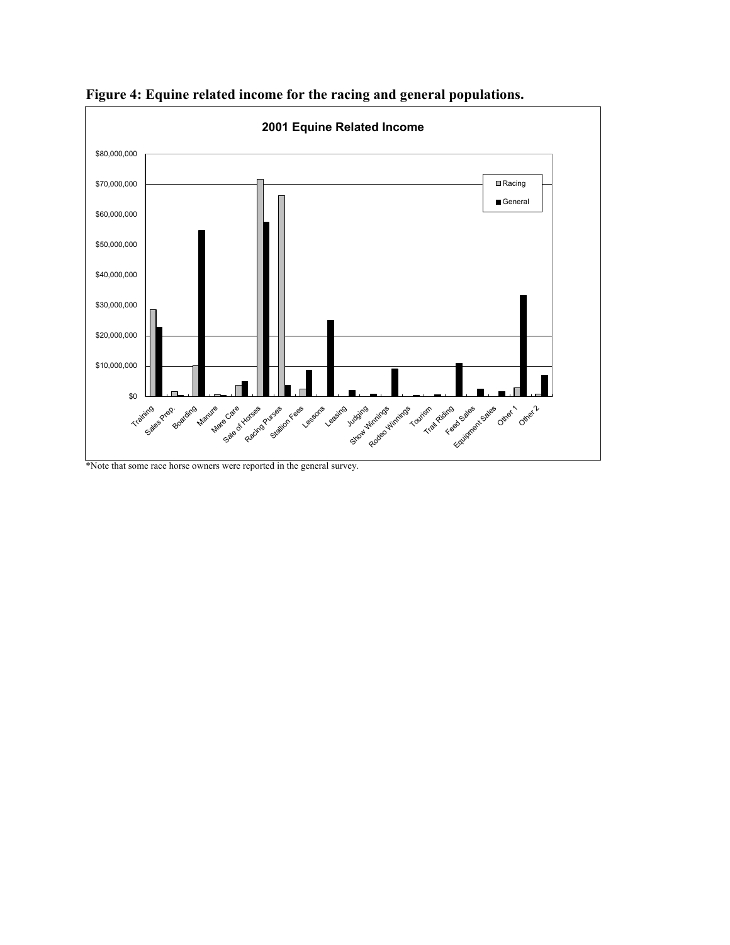

**Figure 4: Equine related income for the racing and general populations.** 

\*Note that some race horse owners were reported in the general survey.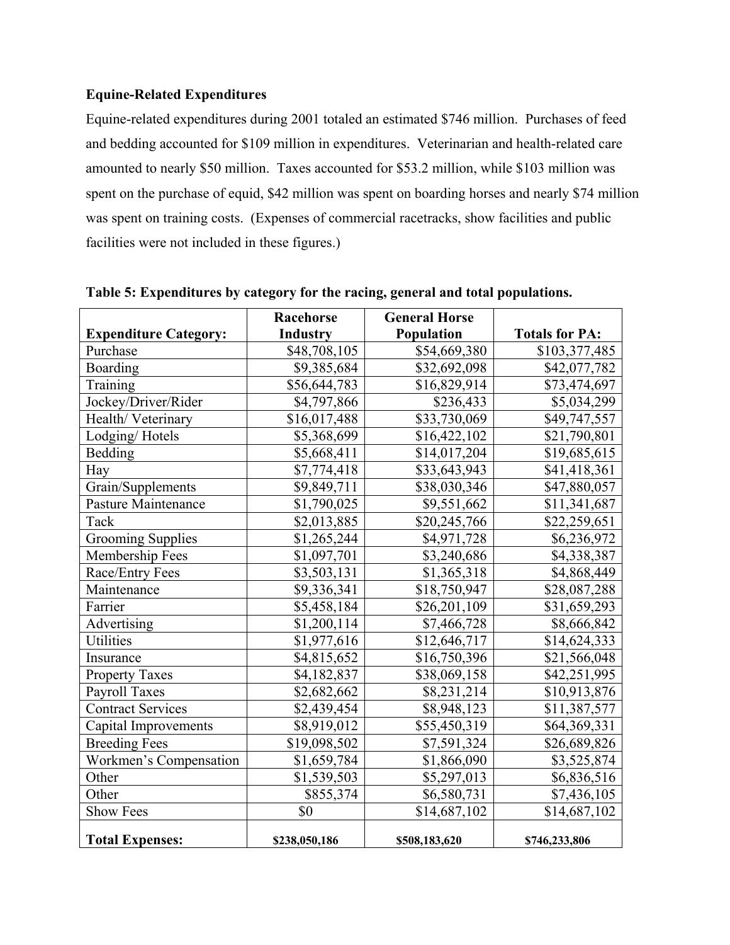## **Equine-Related Expenditures**

Equine-related expenditures during 2001 totaled an estimated \$746 million. Purchases of feed and bedding accounted for \$109 million in expenditures. Veterinarian and health-related care amounted to nearly \$50 million. Taxes accounted for \$53.2 million, while \$103 million was spent on the purchase of equid, \$42 million was spent on boarding horses and nearly \$74 million was spent on training costs. (Expenses of commercial racetracks, show facilities and public facilities were not included in these figures.)

|                              | Racehorse       | <b>General Horse</b> |                       |
|------------------------------|-----------------|----------------------|-----------------------|
| <b>Expenditure Category:</b> | <b>Industry</b> | Population           | <b>Totals for PA:</b> |
| Purchase                     | \$48,708,105    | \$54,669,380         | \$103,377,485         |
| Boarding                     | \$9,385,684     | \$32,692,098         | \$42,077,782          |
| Training                     | \$56,644,783    | \$16,829,914         | \$73,474,697          |
| Jockey/Driver/Rider          | \$4,797,866     | \$236,433            | \$5,034,299           |
| Health/Veterinary            | \$16,017,488    | \$33,730,069         | \$49,747,557          |
| Lodging/Hotels               | \$5,368,699     | \$16,422,102         | \$21,790,801          |
| Bedding                      | \$5,668,411     | \$14,017,204         | \$19,685,615          |
| Hay                          | \$7,774,418     | \$33,643,943         | \$41,418,361          |
| Grain/Supplements            | \$9,849,711     | \$38,030,346         | \$47,880,057          |
| Pasture Maintenance          | \$1,790,025     | \$9,551,662          | \$11,341,687          |
| Tack                         | \$2,013,885     | \$20,245,766         | \$22,259,651          |
| <b>Grooming Supplies</b>     | \$1,265,244     | \$4,971,728          | \$6,236,972           |
| Membership Fees              | \$1,097,701     | \$3,240,686          | \$4,338,387           |
| Race/Entry Fees              | \$3,503,131     | \$1,365,318          | \$4,868,449           |
| Maintenance                  | \$9,336,341     | \$18,750,947         | \$28,087,288          |
| Farrier                      | \$5,458,184     | \$26,201,109         | \$31,659,293          |
| Advertising                  | \$1,200,114     | \$7,466,728          | \$8,666,842           |
| Utilities                    | \$1,977,616     | \$12,646,717         | \$14,624,333          |
| Insurance                    | \$4,815,652     | \$16,750,396         | \$21,566,048          |
| <b>Property Taxes</b>        | \$4,182,837     | \$38,069,158         | \$42,251,995          |
| <b>Payroll Taxes</b>         | \$2,682,662     | \$8,231,214          | \$10,913,876          |
| <b>Contract Services</b>     | \$2,439,454     | \$8,948,123          | \$11,387,577          |
| Capital Improvements         | \$8,919,012     | \$55,450,319         | \$64,369,331          |
| <b>Breeding Fees</b>         | \$19,098,502    | \$7,591,324          | \$26,689,826          |
| Workmen's Compensation       | \$1,659,784     | \$1,866,090          | \$3,525,874           |
| Other                        | \$1,539,503     | \$5,297,013          | \$6,836,516           |
| Other                        | \$855,374       | \$6,580,731          | \$7,436,105           |
| <b>Show Fees</b>             | \$0             | \$14,687,102         | \$14,687,102          |
| <b>Total Expenses:</b>       | \$238,050,186   | \$508,183,620        | \$746,233,806         |

**Table 5: Expenditures by category for the racing, general and total populations.**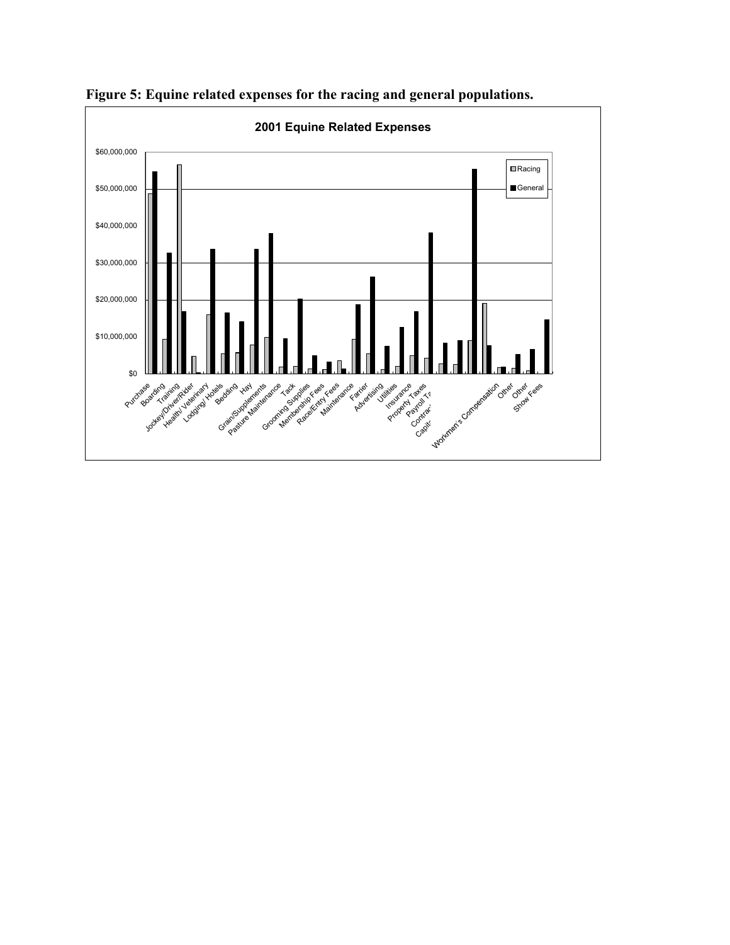

**Figure 5: Equine related expenses for the racing and general populations.**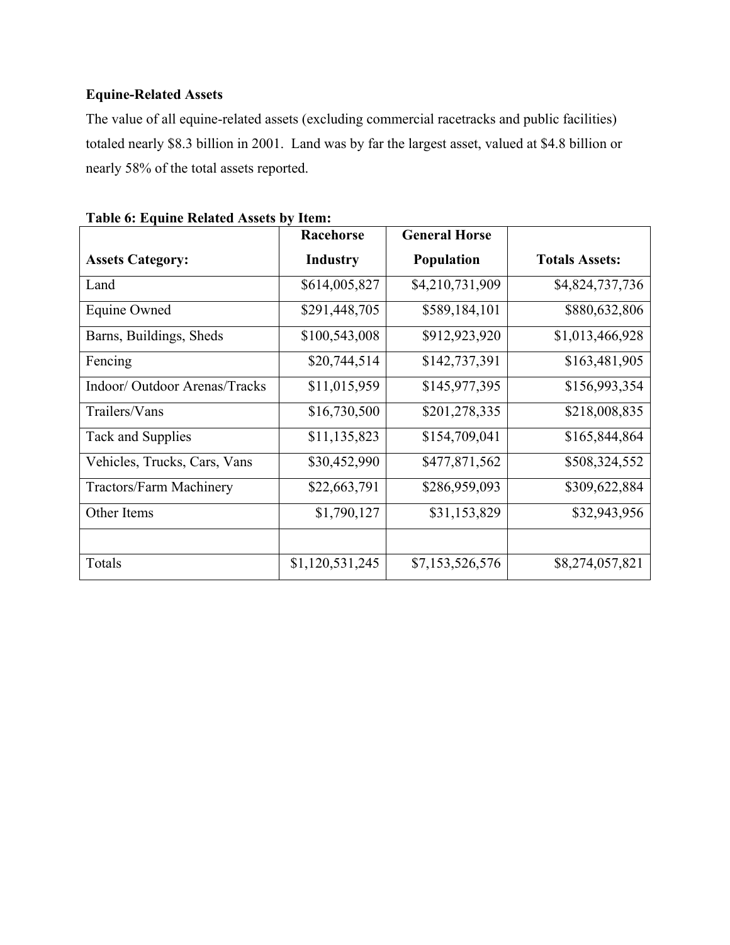# **Equine-Related Assets**

The value of all equine-related assets (excluding commercial racetracks and public facilities) totaled nearly \$8.3 billion in 2001. Land was by far the largest asset, valued at \$4.8 billion or nearly 58% of the total assets reported.

|                                | <b>Racehorse</b> | <b>General Horse</b> |                       |
|--------------------------------|------------------|----------------------|-----------------------|
| <b>Assets Category:</b>        | <b>Industry</b>  | <b>Population</b>    | <b>Totals Assets:</b> |
| Land                           | \$614,005,827    | \$4,210,731,909      | \$4,824,737,736       |
| Equine Owned                   | \$291,448,705    | \$589,184,101        | \$880,632,806         |
| Barns, Buildings, Sheds        | \$100,543,008    | \$912,923,920        | \$1,013,466,928       |
| Fencing                        | \$20,744,514     | \$142,737,391        | \$163,481,905         |
| Indoor/ Outdoor Arenas/Tracks  | \$11,015,959     | \$145,977,395        | \$156,993,354         |
| Trailers/Vans                  | \$16,730,500     | \$201,278,335        | \$218,008,835         |
| Tack and Supplies              | \$11,135,823     | \$154,709,041        | \$165,844,864         |
| Vehicles, Trucks, Cars, Vans   | \$30,452,990     | \$477,871,562        | \$508,324,552         |
| <b>Tractors/Farm Machinery</b> | \$22,663,791     | \$286,959,093        | \$309,622,884         |
| Other Items                    | \$1,790,127      | \$31,153,829         | \$32,943,956          |
|                                |                  |                      |                       |
| Totals                         | \$1,120,531,245  | \$7,153,526,576      | \$8,274,057,821       |

| Table 6: Equine Related Assets by Item: |
|-----------------------------------------|
|-----------------------------------------|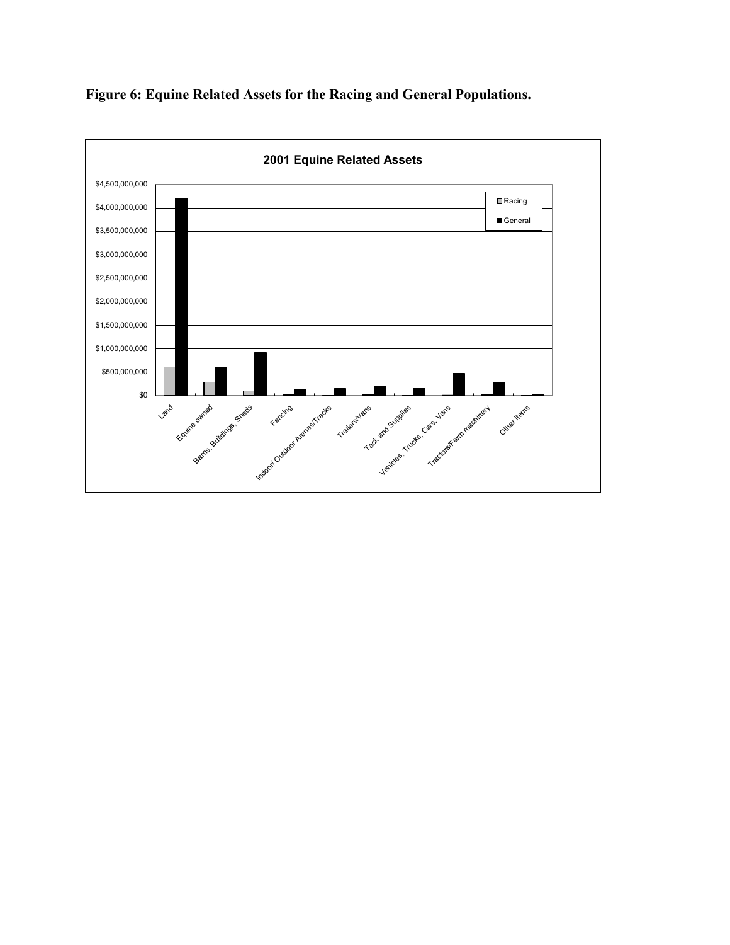

**Figure 6: Equine Related Assets for the Racing and General Populations.**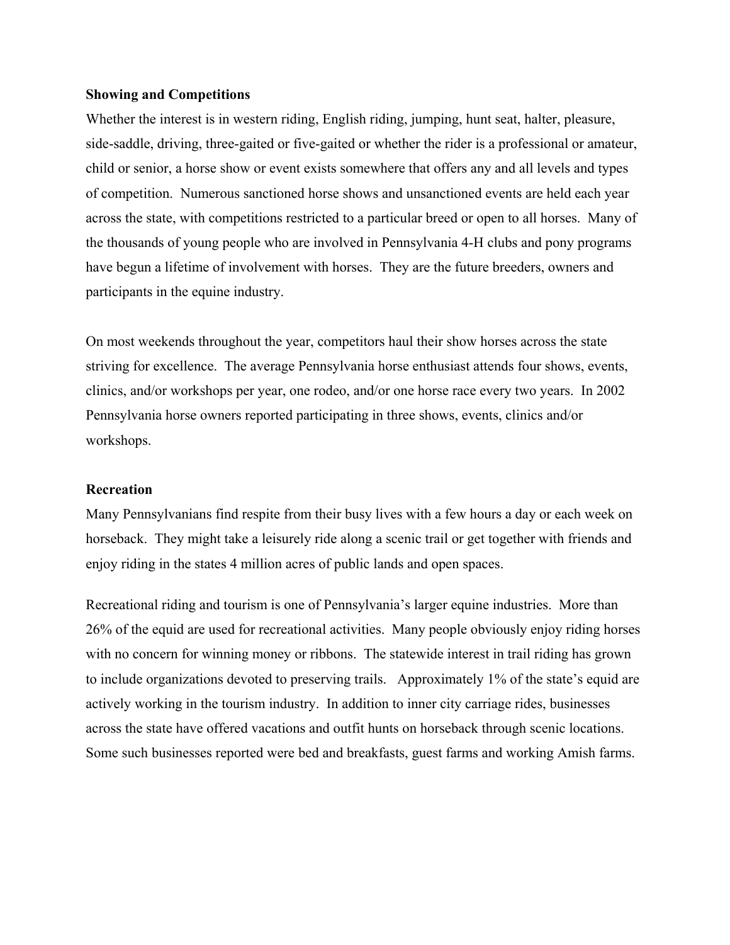#### **Showing and Competitions**

Whether the interest is in western riding, English riding, jumping, hunt seat, halter, pleasure, side-saddle, driving, three-gaited or five-gaited or whether the rider is a professional or amateur, child or senior, a horse show or event exists somewhere that offers any and all levels and types of competition. Numerous sanctioned horse shows and unsanctioned events are held each year across the state, with competitions restricted to a particular breed or open to all horses. Many of the thousands of young people who are involved in Pennsylvania 4-H clubs and pony programs have begun a lifetime of involvement with horses. They are the future breeders, owners and participants in the equine industry.

On most weekends throughout the year, competitors haul their show horses across the state striving for excellence. The average Pennsylvania horse enthusiast attends four shows, events, clinics, and/or workshops per year, one rodeo, and/or one horse race every two years. In 2002 Pennsylvania horse owners reported participating in three shows, events, clinics and/or workshops.

#### **Recreation**

Many Pennsylvanians find respite from their busy lives with a few hours a day or each week on horseback. They might take a leisurely ride along a scenic trail or get together with friends and enjoy riding in the states 4 million acres of public lands and open spaces.

Recreational riding and tourism is one of Pennsylvania's larger equine industries. More than 26% of the equid are used for recreational activities. Many people obviously enjoy riding horses with no concern for winning money or ribbons. The statewide interest in trail riding has grown to include organizations devoted to preserving trails. Approximately 1% of the state's equid are actively working in the tourism industry. In addition to inner city carriage rides, businesses across the state have offered vacations and outfit hunts on horseback through scenic locations. Some such businesses reported were bed and breakfasts, guest farms and working Amish farms.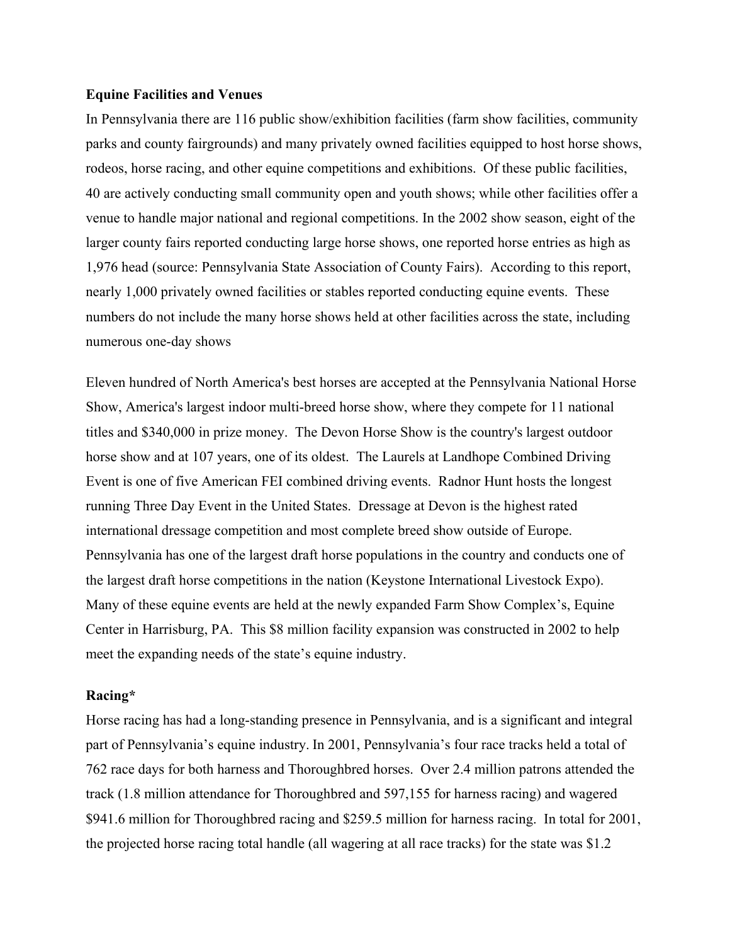#### **Equine Facilities and Venues**

In Pennsylvania there are 116 public show/exhibition facilities (farm show facilities, community parks and county fairgrounds) and many privately owned facilities equipped to host horse shows, rodeos, horse racing, and other equine competitions and exhibitions. Of these public facilities, 40 are actively conducting small community open and youth shows; while other facilities offer a venue to handle major national and regional competitions. In the 2002 show season, eight of the larger county fairs reported conducting large horse shows, one reported horse entries as high as 1,976 head (source: Pennsylvania State Association of County Fairs). According to this report, nearly 1,000 privately owned facilities or stables reported conducting equine events. These numbers do not include the many horse shows held at other facilities across the state, including numerous one-day shows

Eleven hundred of North America's best horses are accepted at the Pennsylvania National Horse Show, America's largest indoor multi-breed horse show, where they compete for 11 national titles and \$340,000 in prize money. The Devon Horse Show is the country's largest outdoor horse show and at 107 years, one of its oldest. The Laurels at Landhope Combined Driving Event is one of five American FEI combined driving events. Radnor Hunt hosts the longest running Three Day Event in the United States. Dressage at Devon is the highest rated international dressage competition and most complete breed show outside of Europe. Pennsylvania has one of the largest draft horse populations in the country and conducts one of the largest draft horse competitions in the nation (Keystone International Livestock Expo). Many of these equine events are held at the newly expanded Farm Show Complex's, Equine Center in Harrisburg, PA. This \$8 million facility expansion was constructed in 2002 to help meet the expanding needs of the state's equine industry.

#### **Racing\***

Horse racing has had a long-standing presence in Pennsylvania, and is a significant and integral part of Pennsylvania's equine industry. In 2001, Pennsylvania's four race tracks held a total of 762 race days for both harness and Thoroughbred horses. Over 2.4 million patrons attended the track (1.8 million attendance for Thoroughbred and 597,155 for harness racing) and wagered \$941.6 million for Thoroughbred racing and \$259.5 million for harness racing. In total for 2001, the projected horse racing total handle (all wagering at all race tracks) for the state was \$1.2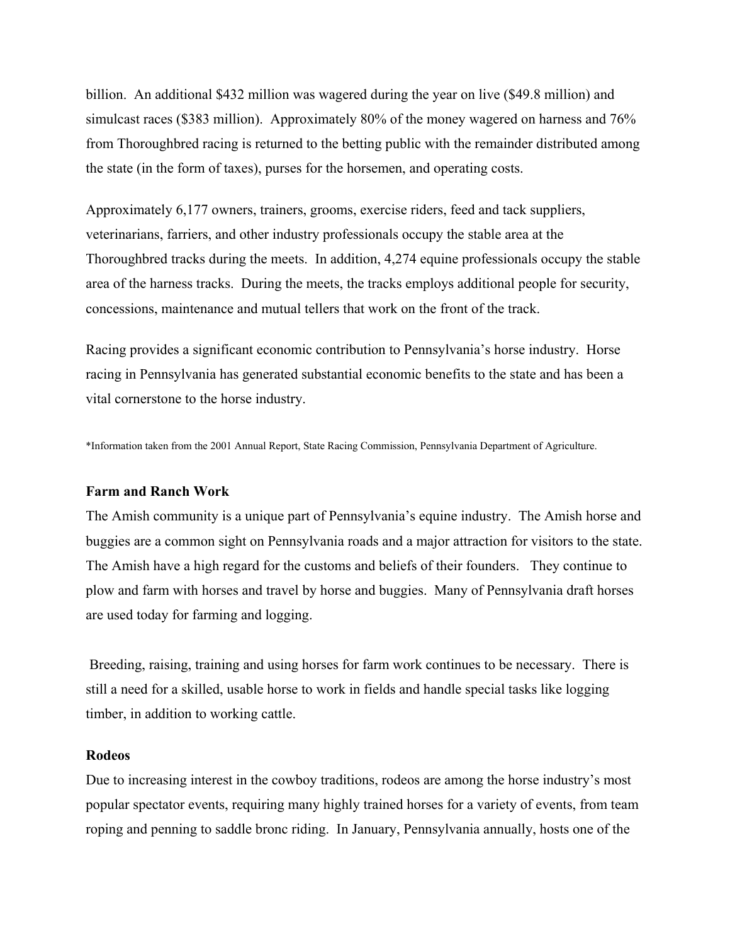billion. An additional \$432 million was wagered during the year on live (\$49.8 million) and simulcast races (\$383 million). Approximately 80% of the money wagered on harness and 76% from Thoroughbred racing is returned to the betting public with the remainder distributed among the state (in the form of taxes), purses for the horsemen, and operating costs.

Approximately 6,177 owners, trainers, grooms, exercise riders, feed and tack suppliers, veterinarians, farriers, and other industry professionals occupy the stable area at the Thoroughbred tracks during the meets. In addition, 4,274 equine professionals occupy the stable area of the harness tracks. During the meets, the tracks employs additional people for security, concessions, maintenance and mutual tellers that work on the front of the track.

Racing provides a significant economic contribution to Pennsylvania's horse industry. Horse racing in Pennsylvania has generated substantial economic benefits to the state and has been a vital cornerstone to the horse industry.

\*Information taken from the 2001 Annual Report, State Racing Commission, Pennsylvania Department of Agriculture.

#### **Farm and Ranch Work**

The Amish community is a unique part of Pennsylvania's equine industry. The Amish horse and buggies are a common sight on Pennsylvania roads and a major attraction for visitors to the state. The Amish have a high regard for the customs and beliefs of their founders. They continue to plow and farm with horses and travel by horse and buggies. Many of Pennsylvania draft horses are used today for farming and logging.

 Breeding, raising, training and using horses for farm work continues to be necessary. There is still a need for a skilled, usable horse to work in fields and handle special tasks like logging timber, in addition to working cattle.

#### **Rodeos**

Due to increasing interest in the cowboy traditions, rodeos are among the horse industry's most popular spectator events, requiring many highly trained horses for a variety of events, from team roping and penning to saddle bronc riding. In January, Pennsylvania annually, hosts one of the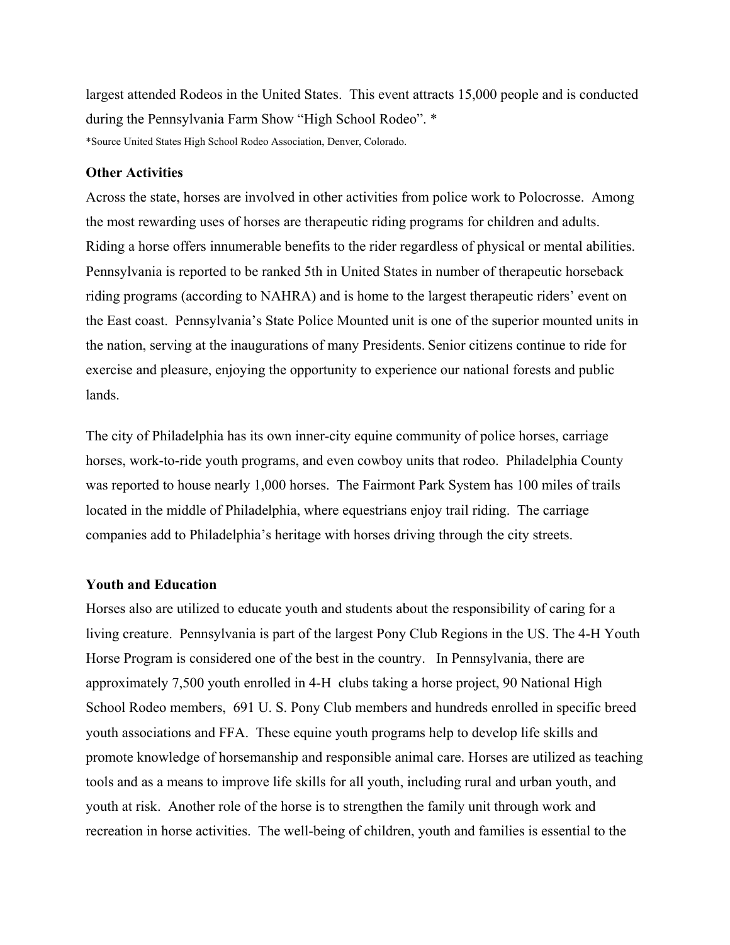largest attended Rodeos in the United States. This event attracts 15,000 people and is conducted during the Pennsylvania Farm Show "High School Rodeo". \* \*Source United States High School Rodeo Association, Denver, Colorado.

#### **Other Activities**

Across the state, horses are involved in other activities from police work to Polocrosse. Among the most rewarding uses of horses are therapeutic riding programs for children and adults. Riding a horse offers innumerable benefits to the rider regardless of physical or mental abilities. Pennsylvania is reported to be ranked 5th in United States in number of therapeutic horseback riding programs (according to NAHRA) and is home to the largest therapeutic riders' event on the East coast. Pennsylvania's State Police Mounted unit is one of the superior mounted units in the nation, serving at the inaugurations of many Presidents. Senior citizens continue to ride for exercise and pleasure, enjoying the opportunity to experience our national forests and public lands.

The city of Philadelphia has its own inner-city equine community of police horses, carriage horses, work-to-ride youth programs, and even cowboy units that rodeo. Philadelphia County was reported to house nearly 1,000 horses. The Fairmont Park System has 100 miles of trails located in the middle of Philadelphia, where equestrians enjoy trail riding. The carriage companies add to Philadelphia's heritage with horses driving through the city streets.

#### **Youth and Education**

Horses also are utilized to educate youth and students about the responsibility of caring for a living creature. Pennsylvania is part of the largest Pony Club Regions in the US. The 4-H Youth Horse Program is considered one of the best in the country. In Pennsylvania, there are approximately 7,500 youth enrolled in 4-H clubs taking a horse project, 90 National High School Rodeo members, 691 U. S. Pony Club members and hundreds enrolled in specific breed youth associations and FFA. These equine youth programs help to develop life skills and promote knowledge of horsemanship and responsible animal care. Horses are utilized as teaching tools and as a means to improve life skills for all youth, including rural and urban youth, and youth at risk. Another role of the horse is to strengthen the family unit through work and recreation in horse activities. The well-being of children, youth and families is essential to the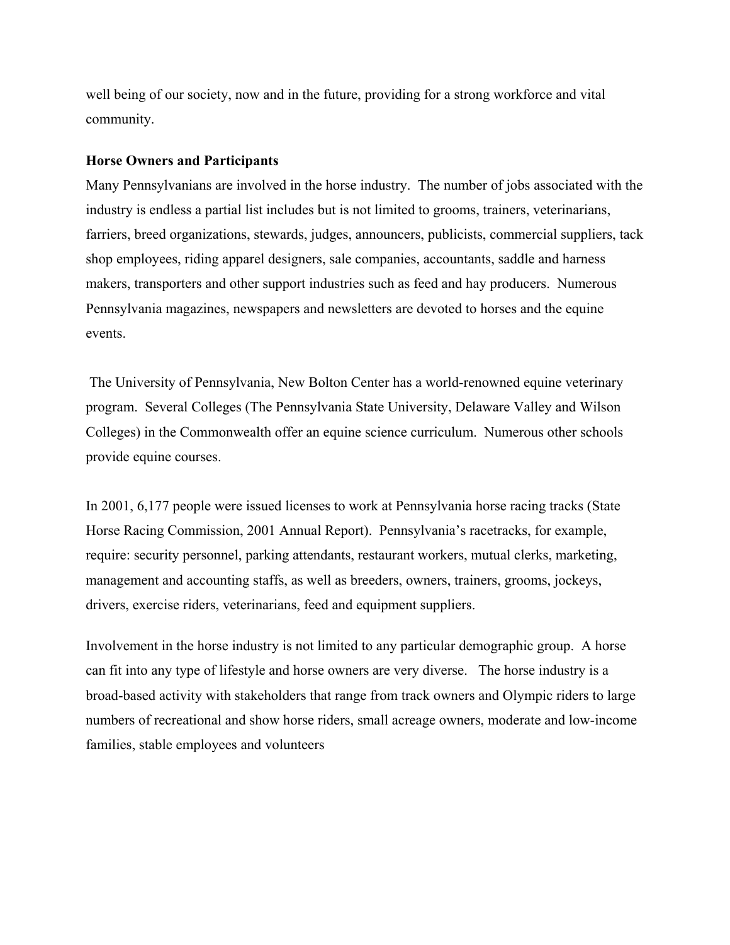well being of our society, now and in the future, providing for a strong workforce and vital community.

#### **Horse Owners and Participants**

Many Pennsylvanians are involved in the horse industry. The number of jobs associated with the industry is endless a partial list includes but is not limited to grooms, trainers, veterinarians, farriers, breed organizations, stewards, judges, announcers, publicists, commercial suppliers, tack shop employees, riding apparel designers, sale companies, accountants, saddle and harness makers, transporters and other support industries such as feed and hay producers. Numerous Pennsylvania magazines, newspapers and newsletters are devoted to horses and the equine events.

 The University of Pennsylvania, New Bolton Center has a world-renowned equine veterinary program. Several Colleges (The Pennsylvania State University, Delaware Valley and Wilson Colleges) in the Commonwealth offer an equine science curriculum. Numerous other schools provide equine courses.

In 2001, 6,177 people were issued licenses to work at Pennsylvania horse racing tracks (State Horse Racing Commission, 2001 Annual Report). Pennsylvania's racetracks, for example, require: security personnel, parking attendants, restaurant workers, mutual clerks, marketing, management and accounting staffs, as well as breeders, owners, trainers, grooms, jockeys, drivers, exercise riders, veterinarians, feed and equipment suppliers.

Involvement in the horse industry is not limited to any particular demographic group. A horse can fit into any type of lifestyle and horse owners are very diverse. The horse industry is a broad-based activity with stakeholders that range from track owners and Olympic riders to large numbers of recreational and show horse riders, small acreage owners, moderate and low-income families, stable employees and volunteers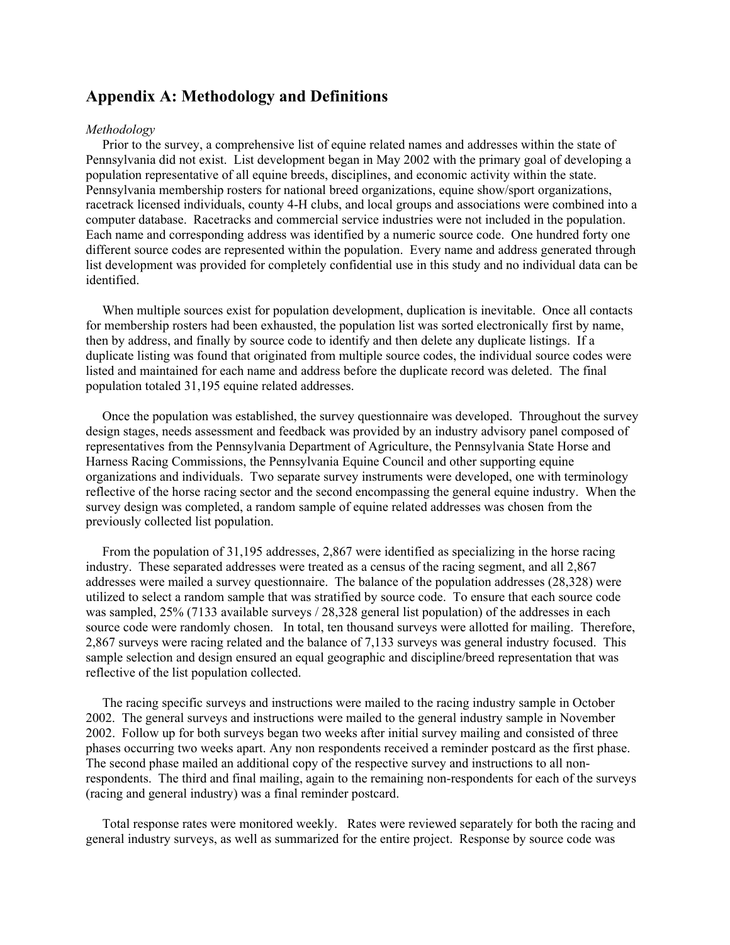## **Appendix A: Methodology and Definitions**

#### *Methodology*

 Prior to the survey, a comprehensive list of equine related names and addresses within the state of Pennsylvania did not exist. List development began in May 2002 with the primary goal of developing a population representative of all equine breeds, disciplines, and economic activity within the state. Pennsylvania membership rosters for national breed organizations, equine show/sport organizations, racetrack licensed individuals, county 4-H clubs, and local groups and associations were combined into a computer database. Racetracks and commercial service industries were not included in the population. Each name and corresponding address was identified by a numeric source code. One hundred forty one different source codes are represented within the population. Every name and address generated through list development was provided for completely confidential use in this study and no individual data can be identified.

 When multiple sources exist for population development, duplication is inevitable. Once all contacts for membership rosters had been exhausted, the population list was sorted electronically first by name, then by address, and finally by source code to identify and then delete any duplicate listings. If a duplicate listing was found that originated from multiple source codes, the individual source codes were listed and maintained for each name and address before the duplicate record was deleted. The final population totaled 31,195 equine related addresses.

 Once the population was established, the survey questionnaire was developed. Throughout the survey design stages, needs assessment and feedback was provided by an industry advisory panel composed of representatives from the Pennsylvania Department of Agriculture, the Pennsylvania State Horse and Harness Racing Commissions, the Pennsylvania Equine Council and other supporting equine organizations and individuals. Two separate survey instruments were developed, one with terminology reflective of the horse racing sector and the second encompassing the general equine industry. When the survey design was completed, a random sample of equine related addresses was chosen from the previously collected list population.

 From the population of 31,195 addresses, 2,867 were identified as specializing in the horse racing industry. These separated addresses were treated as a census of the racing segment, and all 2,867 addresses were mailed a survey questionnaire. The balance of the population addresses (28,328) were utilized to select a random sample that was stratified by source code. To ensure that each source code was sampled, 25% (7133 available surveys / 28,328 general list population) of the addresses in each source code were randomly chosen. In total, ten thousand surveys were allotted for mailing. Therefore, 2,867 surveys were racing related and the balance of 7,133 surveys was general industry focused. This sample selection and design ensured an equal geographic and discipline/breed representation that was reflective of the list population collected.

 The racing specific surveys and instructions were mailed to the racing industry sample in October 2002. The general surveys and instructions were mailed to the general industry sample in November 2002. Follow up for both surveys began two weeks after initial survey mailing and consisted of three phases occurring two weeks apart. Any non respondents received a reminder postcard as the first phase. The second phase mailed an additional copy of the respective survey and instructions to all nonrespondents. The third and final mailing, again to the remaining non-respondents for each of the surveys (racing and general industry) was a final reminder postcard.

 Total response rates were monitored weekly. Rates were reviewed separately for both the racing and general industry surveys, as well as summarized for the entire project. Response by source code was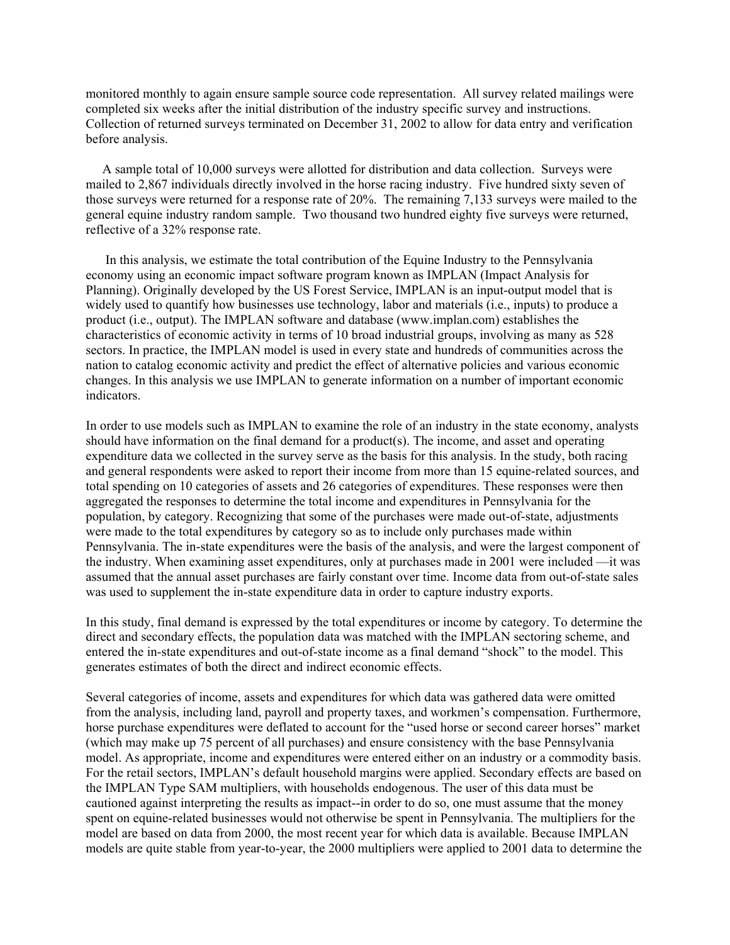monitored monthly to again ensure sample source code representation. All survey related mailings were completed six weeks after the initial distribution of the industry specific survey and instructions. Collection of returned surveys terminated on December 31, 2002 to allow for data entry and verification before analysis.

 A sample total of 10,000 surveys were allotted for distribution and data collection. Surveys were mailed to 2,867 individuals directly involved in the horse racing industry. Five hundred sixty seven of those surveys were returned for a response rate of 20%. The remaining 7,133 surveys were mailed to the general equine industry random sample. Two thousand two hundred eighty five surveys were returned, reflective of a 32% response rate.

 In this analysis, we estimate the total contribution of the Equine Industry to the Pennsylvania economy using an economic impact software program known as IMPLAN (Impact Analysis for Planning). Originally developed by the US Forest Service, IMPLAN is an input-output model that is widely used to quantify how businesses use technology, labor and materials (i.e., inputs) to produce a product (i.e., output). The IMPLAN software and database (www.implan.com) establishes the characteristics of economic activity in terms of 10 broad industrial groups, involving as many as 528 sectors. In practice, the IMPLAN model is used in every state and hundreds of communities across the nation to catalog economic activity and predict the effect of alternative policies and various economic changes. In this analysis we use IMPLAN to generate information on a number of important economic indicators.

In order to use models such as IMPLAN to examine the role of an industry in the state economy, analysts should have information on the final demand for a product(s). The income, and asset and operating expenditure data we collected in the survey serve as the basis for this analysis. In the study, both racing and general respondents were asked to report their income from more than 15 equine-related sources, and total spending on 10 categories of assets and 26 categories of expenditures. These responses were then aggregated the responses to determine the total income and expenditures in Pennsylvania for the population, by category. Recognizing that some of the purchases were made out-of-state, adjustments were made to the total expenditures by category so as to include only purchases made within Pennsylvania. The in-state expenditures were the basis of the analysis, and were the largest component of the industry. When examining asset expenditures, only at purchases made in 2001 were included —it was assumed that the annual asset purchases are fairly constant over time. Income data from out-of-state sales was used to supplement the in-state expenditure data in order to capture industry exports.

In this study, final demand is expressed by the total expenditures or income by category. To determine the direct and secondary effects, the population data was matched with the IMPLAN sectoring scheme, and entered the in-state expenditures and out-of-state income as a final demand "shock" to the model. This generates estimates of both the direct and indirect economic effects.

Several categories of income, assets and expenditures for which data was gathered data were omitted from the analysis, including land, payroll and property taxes, and workmen's compensation. Furthermore, horse purchase expenditures were deflated to account for the "used horse or second career horses" market (which may make up 75 percent of all purchases) and ensure consistency with the base Pennsylvania model. As appropriate, income and expenditures were entered either on an industry or a commodity basis. For the retail sectors, IMPLAN's default household margins were applied. Secondary effects are based on the IMPLAN Type SAM multipliers, with households endogenous. The user of this data must be cautioned against interpreting the results as impact--in order to do so, one must assume that the money spent on equine-related businesses would not otherwise be spent in Pennsylvania. The multipliers for the model are based on data from 2000, the most recent year for which data is available. Because IMPLAN models are quite stable from year-to-year, the 2000 multipliers were applied to 2001 data to determine the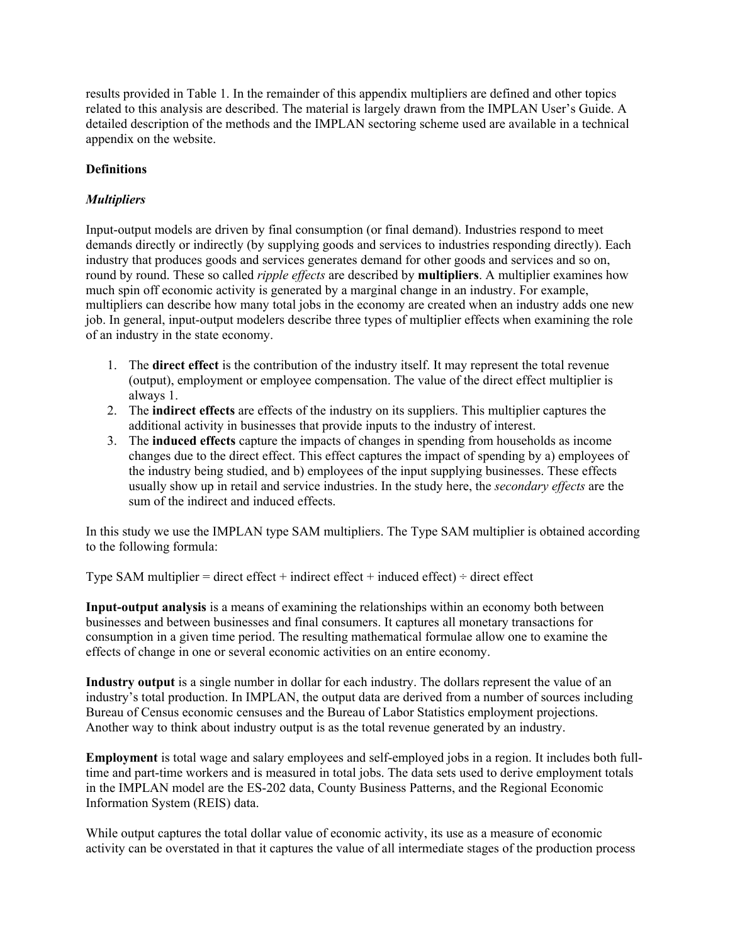results provided in Table 1. In the remainder of this appendix multipliers are defined and other topics related to this analysis are described. The material is largely drawn from the IMPLAN User's Guide. A detailed description of the methods and the IMPLAN sectoring scheme used are available in a technical appendix on the website.

#### **Definitions**

#### *Multipliers*

Input-output models are driven by final consumption (or final demand). Industries respond to meet demands directly or indirectly (by supplying goods and services to industries responding directly). Each industry that produces goods and services generates demand for other goods and services and so on, round by round. These so called *ripple effects* are described by **multipliers**. A multiplier examines how much spin off economic activity is generated by a marginal change in an industry. For example, multipliers can describe how many total jobs in the economy are created when an industry adds one new job. In general, input-output modelers describe three types of multiplier effects when examining the role of an industry in the state economy.

- 1. The **direct effect** is the contribution of the industry itself. It may represent the total revenue (output), employment or employee compensation. The value of the direct effect multiplier is always 1.
- 2. The **indirect effects** are effects of the industry on its suppliers. This multiplier captures the additional activity in businesses that provide inputs to the industry of interest.
- 3. The **induced effects** capture the impacts of changes in spending from households as income changes due to the direct effect. This effect captures the impact of spending by a) employees of the industry being studied, and b) employees of the input supplying businesses. These effects usually show up in retail and service industries. In the study here, the *secondary effects* are the sum of the indirect and induced effects.

In this study we use the IMPLAN type SAM multipliers. The Type SAM multiplier is obtained according to the following formula:

Type SAM multiplier  $=$  direct effect  $+$  indirect effect  $+$  induced effect)  $\div$  direct effect

**Input-output analysis** is a means of examining the relationships within an economy both between businesses and between businesses and final consumers. It captures all monetary transactions for consumption in a given time period. The resulting mathematical formulae allow one to examine the effects of change in one or several economic activities on an entire economy.

**Industry output** is a single number in dollar for each industry. The dollars represent the value of an industry's total production. In IMPLAN, the output data are derived from a number of sources including Bureau of Census economic censuses and the Bureau of Labor Statistics employment projections. Another way to think about industry output is as the total revenue generated by an industry.

**Employment** is total wage and salary employees and self-employed jobs in a region. It includes both fulltime and part-time workers and is measured in total jobs. The data sets used to derive employment totals in the IMPLAN model are the ES-202 data, County Business Patterns, and the Regional Economic Information System (REIS) data.

While output captures the total dollar value of economic activity, its use as a measure of economic activity can be overstated in that it captures the value of all intermediate stages of the production process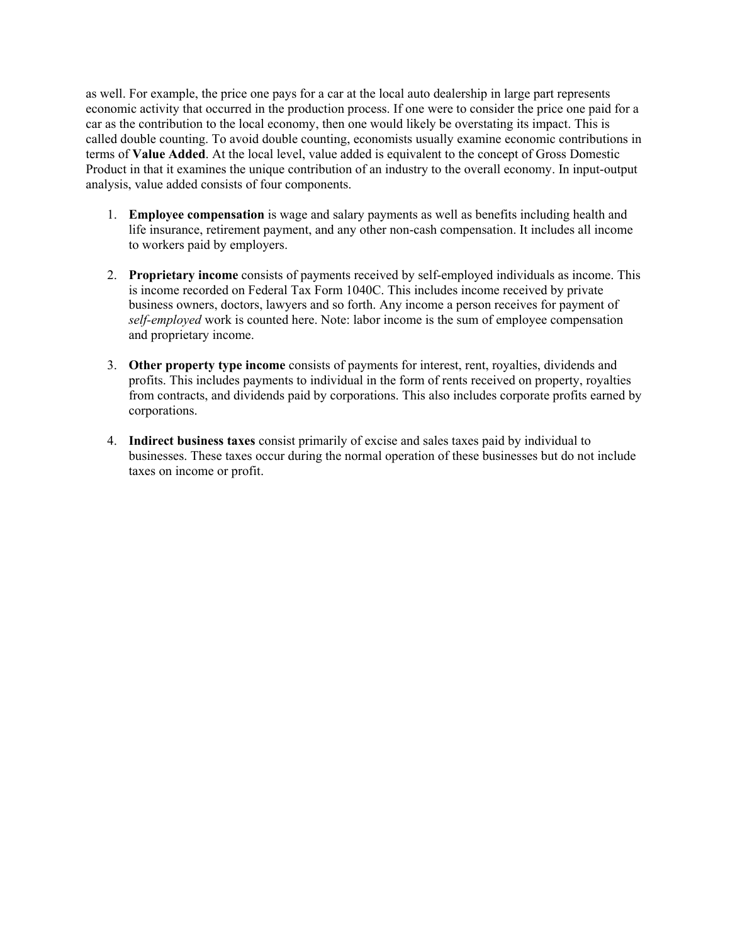as well. For example, the price one pays for a car at the local auto dealership in large part represents economic activity that occurred in the production process. If one were to consider the price one paid for a car as the contribution to the local economy, then one would likely be overstating its impact. This is called double counting. To avoid double counting, economists usually examine economic contributions in terms of **Value Added**. At the local level, value added is equivalent to the concept of Gross Domestic Product in that it examines the unique contribution of an industry to the overall economy. In input-output analysis, value added consists of four components.

- 1. **Employee compensation** is wage and salary payments as well as benefits including health and life insurance, retirement payment, and any other non-cash compensation. It includes all income to workers paid by employers.
- 2. **Proprietary income** consists of payments received by self-employed individuals as income. This is income recorded on Federal Tax Form 1040C. This includes income received by private business owners, doctors, lawyers and so forth. Any income a person receives for payment of *self-employed* work is counted here. Note: labor income is the sum of employee compensation and proprietary income.
- 3. **Other property type income** consists of payments for interest, rent, royalties, dividends and profits. This includes payments to individual in the form of rents received on property, royalties from contracts, and dividends paid by corporations. This also includes corporate profits earned by corporations.
- 4. **Indirect business taxes** consist primarily of excise and sales taxes paid by individual to businesses. These taxes occur during the normal operation of these businesses but do not include taxes on income or profit.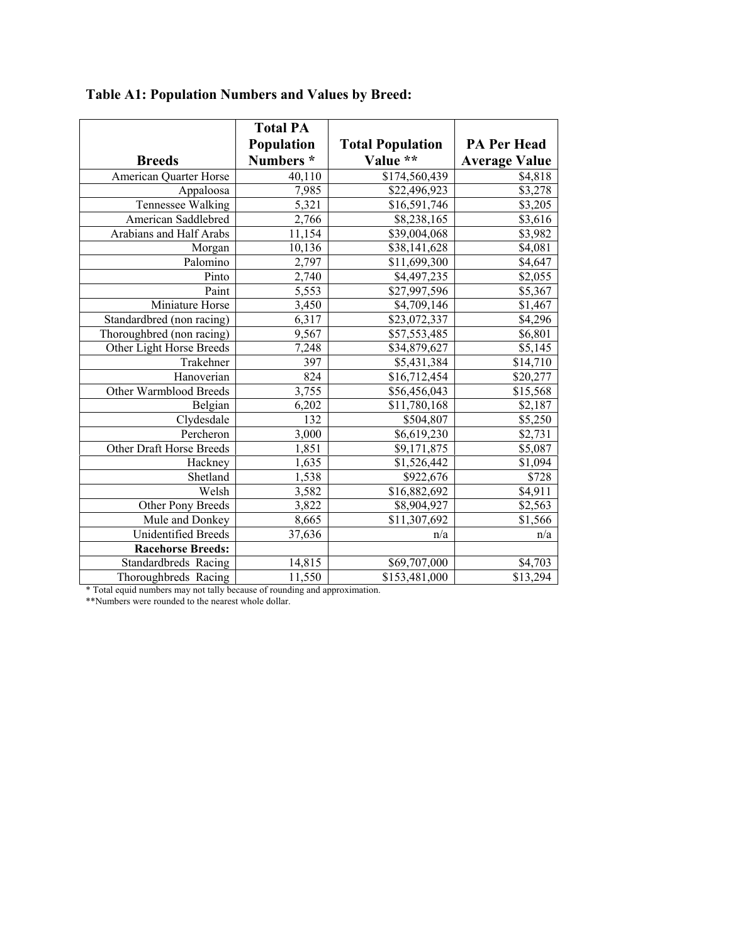|                           | <b>Total PA</b> |                         |                      |
|---------------------------|-----------------|-------------------------|----------------------|
|                           | Population      | <b>Total Population</b> | <b>PA Per Head</b>   |
| <b>Breeds</b>             | Numbers*        | Value **                | <b>Average Value</b> |
| American Quarter Horse    | 40,110          | \$174,560,439           | \$4,818              |
| Appaloosa                 | 7,985           | \$22,496,923            | \$3,278              |
| Tennessee Walking         | 5,321           | \$16,591,746            | \$3,205              |
| American Saddlebred       | 2,766           | \$8,238,165             | \$3,616              |
| Arabians and Half Arabs   | 11,154          | \$39,004,068            | \$3,982              |
| Morgan                    | 10,136          | \$38,141,628            | \$4,081              |
| Palomino                  | 2,797           | \$11,699,300            | \$4,647              |
| $\overline{P}$ into       | 2,740           | \$4,497,235             | \$2,055              |
| Paint                     | 5,553           | \$27,997,596            | \$5,367              |
| Miniature Horse           | 3,450           | \$4,709,146             | \$1,467              |
| Standardbred (non racing) | 6,317           | \$23,072,337            | \$4,296              |
| Thoroughbred (non racing) | 9,567           | \$57,553,485            | \$6,801              |
| Other Light Horse Breeds  | 7,248           | \$34,879,627            | \$5,145              |
| Trakehner                 | 397             | \$5,431,384             | \$14,710             |
| Hanoverian                | 824             | \$16,712,454            | \$20,277             |
| Other Warmblood Breeds    | 3,755           | \$56,456,043            | \$15,568             |
| Belgian                   | 6,202           | \$11,780,168            | \$2,187              |
| Clydesdale                | 132             | \$504,807               | \$5,250              |
| Percheron                 | 3,000           | \$6,619,230             | \$2,731              |
| Other Draft Horse Breeds  | 1,851           | \$9,171,875             | \$5,087              |
| Hackney                   | 1,635           | \$1,526,442             | \$1,094              |
| Shetland                  | 1,538           | \$922,676               | \$728                |
| Welsh                     | 3,582           | \$16,882,692            | \$4,911              |
| Other Pony Breeds         | 3,822           | \$8,904,927             | \$2,563              |
| Mule and Donkey           | 8,665           | \$11,307,692            | \$1,566              |
| Unidentified Breeds       | 37,636          | n/a                     | n/a                  |
| <b>Racehorse Breeds:</b>  |                 |                         |                      |
| Standardbreds Racing      | 14,815          | \$69,707,000            | \$4,703              |
| Thoroughbreds Racing      | 11,550          | \$153,481,000           | \$13,294             |

**Table A1: Population Numbers and Values by Breed:** 

\* Total equid numbers may not tally because of rounding and approximation.

\*\*Numbers were rounded to the nearest whole dollar.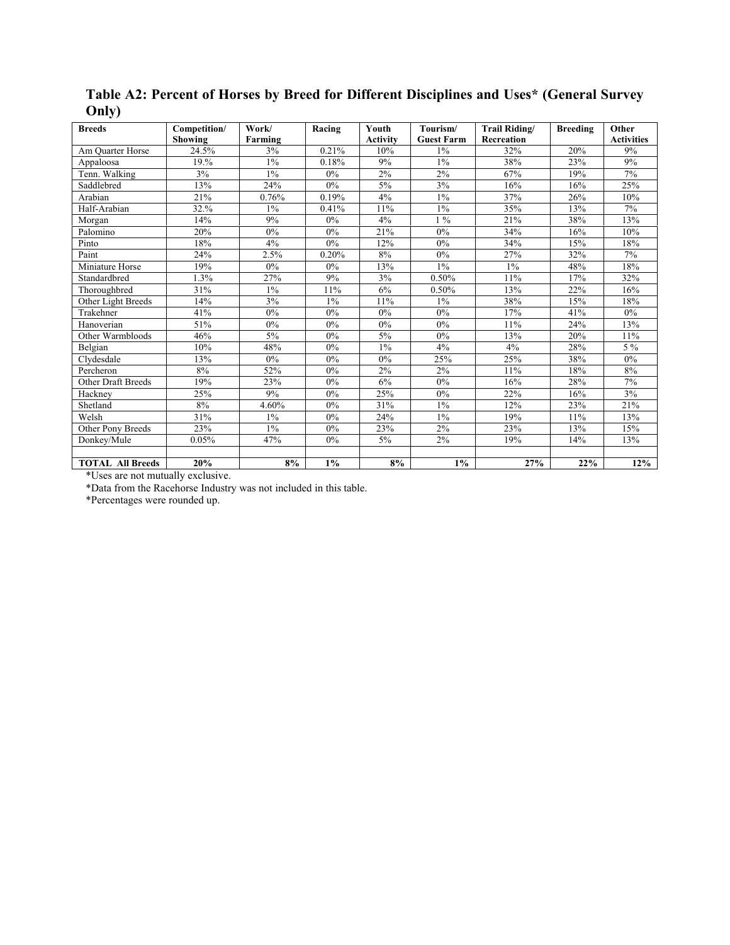| <b>Breeds</b>             | Competition/ | Work/   | Racing | Youth           | Tourism/          | Trail Riding/ | <b>Breeding</b> | Other             |
|---------------------------|--------------|---------|--------|-----------------|-------------------|---------------|-----------------|-------------------|
|                           | Showing      | Farming |        | <b>Activity</b> | <b>Guest Farm</b> | Recreation    |                 | <b>Activities</b> |
| Am Ouarter Horse          | 24.5%        | 3%      | 0.21%  | 10%             | 1%                | 32%           | 20%             | 9%                |
| Appaloosa                 | 19.%         | $1\%$   | 0.18%  | 9%              | $1\%$             | 38%           | 23%             | 9%                |
| Tenn. Walking             | 3%           | $1\%$   | $0\%$  | 2%              | 2%                | 67%           | 19%             | 7%                |
| Saddlebred                | 13%          | 24%     | $0\%$  | 5%              | 3%                | 16%           | 16%             | 25%               |
| Arabian                   | 21%          | 0.76%   | 0.19%  | 4%              | $1\%$             | 37%           | 26%             | 10%               |
| Half-Arabian              | 32.%         | $1\%$   | 0.41%  | 11%             | 1%                | 35%           | 13%             | 7%                |
| Morgan                    | 14%          | 9%      | 0%     | 4%              | $1\%$             | 21%           | 38%             | 13%               |
| Palomino                  | 20%          | $0\%$   | $0\%$  | 21%             | 0%                | 34%           | 16%             | $10\%$            |
| Pinto                     | 18%          | 4%      | $0\%$  | 12%             | 0%                | 34%           | 15%             | 18%               |
| Paint                     | 24%          | 2.5%    | 0.20%  | 8%              | 0%                | 27%           | 32%             | 7%                |
| Miniature Horse           | 19%          | $0\%$   | $0\%$  | 13%             | $1\%$             | 1%            | 48%             | 18%               |
| Standardbred              | 1.3%         | 27%     | 9%     | 3%              | 0.50%             | 11%           | 17%             | 32%               |
| Thoroughbred              | 31%          | $1\%$   | 11%    | 6%              | 0.50%             | 13%           | 22%             | 16%               |
| Other Light Breeds        | 14%          | 3%      | $1\%$  | 11%             | $1\%$             | 38%           | 15%             | 18%               |
| Trakehner                 | 41%          | $0\%$   | 0%     | 0%              | 0%                | 17%           | 41%             | $0\%$             |
| Hanoverian                | 51%          | $0\%$   | $0\%$  | 0%              | 0%                | 11%           | 24%             | 13%               |
| Other Warmbloods          | 46%          | $5\%$   | $0\%$  | 5%              | 0%                | 13%           | 20%             | $11\%$            |
| Belgian                   | 10%          | 48%     | 0%     | $1\%$           | 4%                | 4%            | 28%             | 5 %               |
| Clydesdale                | 13%          | $0\%$   | 0%     | 0%              | 25%               | 25%           | 38%             | $0\%$             |
| Percheron                 | 8%           | 52%     | $0\%$  | 2%              | 2%                | 11%           | 18%             | 8%                |
| <b>Other Draft Breeds</b> | 19%          | 23%     | $0\%$  | 6%              | $0\%$             | 16%           | 28%             | 7%                |
| Hackney                   | 25%          | 9%      | 0%     | 25%             | 0%                | 22%           | 16%             | 3%                |
| Shetland                  | 8%           | 4.60%   | 0%     | 31%             | $1\%$             | 12%           | 23%             | 21%               |
| Welsh                     | 31%          | $1\%$   | 0%     | 24%             | $1\%$             | 19%           | 11%             | 13%               |
| Other Pony Breeds         | 23%          | $1\%$   | $0\%$  | 23%             | 2%                | 23%           | 13%             | 15%               |
| Donkey/Mule               | 0.05%        | 47%     | 0%     | 5%              | 2%                | 19%           | 14%             | 13%               |
|                           |              |         |        |                 |                   |               |                 |                   |
| <b>TOTAL All Breeds</b>   | 20%          | 8%      | 1%     | 8%              | $1\%$             | 27%           | 22%             | 12%               |

**Table A2: Percent of Horses by Breed for Different Disciplines and Uses\* (General Survey Only)** 

\*Uses are not mutually exclusive.

\*Data from the Racehorse Industry was not included in this table.

\*Percentages were rounded up.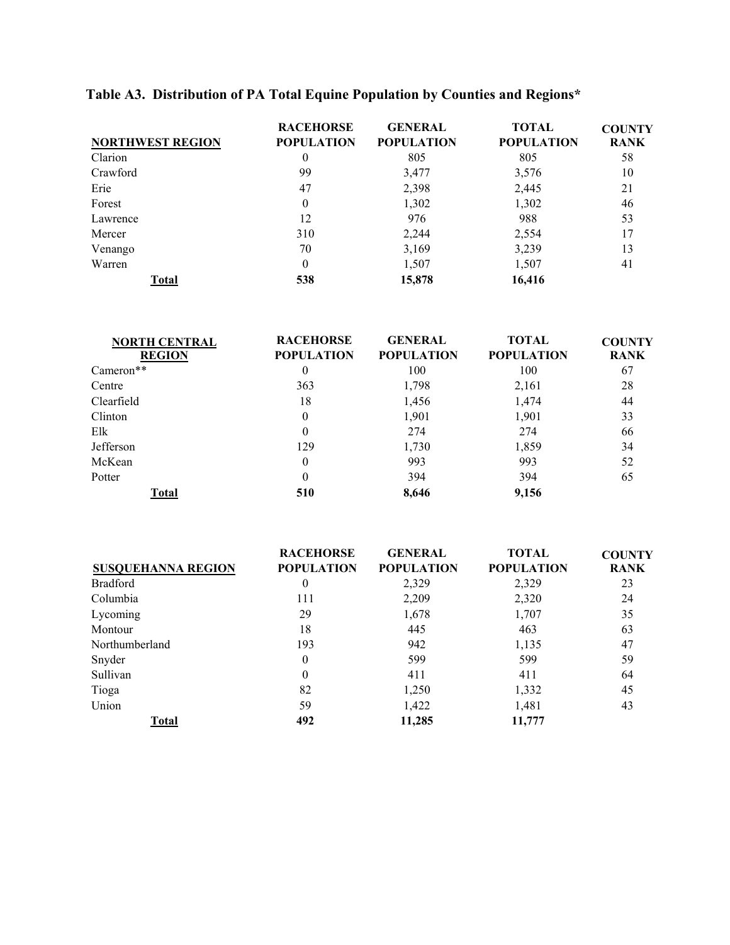| <b>NORTHWEST REGION</b> | <b>RACEHORSE</b><br><b>POPULATION</b> | <b>GENERAL</b><br><b>POPULATION</b> | TOTAL<br><b>POPULATION</b> | <b>COUNTY</b><br><b>RANK</b> |
|-------------------------|---------------------------------------|-------------------------------------|----------------------------|------------------------------|
| Clarion                 | $\theta$                              | 805                                 | 805                        | 58                           |
| Crawford                | 99                                    | 3,477                               | 3,576                      | 10                           |
| Erie                    | 47                                    | 2,398                               | 2,445                      | 21                           |
| Forest                  | 0                                     | 1,302                               | 1,302                      | 46                           |
| Lawrence                | 12                                    | 976                                 | 988                        | 53                           |
| Mercer                  | 310                                   | 2,244                               | 2,554                      |                              |
| Venango                 | 70                                    | 3,169                               | 3,239                      | 13                           |
| Warren                  | 0                                     | 1,507                               | 1,507                      | 41                           |
| Total                   | 538                                   | 15,878                              | 16,416                     |                              |

# **Table A3. Distribution of PA Total Equine Population by Counties and Regions\***

| <b>NORTH CENTRAL</b> | <b>RACEHORSE</b>  | <b>GENERAL</b>    | <b>TOTAL</b>      | <b>COUNTY</b> |
|----------------------|-------------------|-------------------|-------------------|---------------|
| <b>REGION</b>        | <b>POPULATION</b> | <b>POPULATION</b> | <b>POPULATION</b> | <b>RANK</b>   |
| $Cameron**$          | 0                 | 100               | 100               | 67            |
| Centre               | 363               | 1,798             | 2,161             | 28            |
| Clearfield           | 18                | 1,456             | 1,474             | 44            |
| Clinton              | 0                 | 1,901             | 1,901             | 33            |
| Elk                  | 0                 | 274               | 274               | 66            |
| Jefferson            | 129               | 1,730             | 1,859             | 34            |
| McKean               | 0                 | 993               | 993               | 52            |
| Potter               | $\theta$          | 394               | 394               | 65            |
| Total                | 510               | 8.646             | 9,156             |               |

|                           | <b>RACEHORSE</b>  | <b>GENERAL</b>    | <b>TOTAL</b>      | <b>COUNTY</b> |
|---------------------------|-------------------|-------------------|-------------------|---------------|
| <b>SUSQUEHANNA REGION</b> | <b>POPULATION</b> | <b>POPULATION</b> | <b>POPULATION</b> | <b>RANK</b>   |
| <b>Bradford</b>           | 0                 | 2,329             | 2,329             | 23            |
| Columbia                  | 111               | 2,209             | 2,320             | 24            |
| Lycoming                  | 29                | 1,678             | 1,707             | 35            |
| Montour                   | 18                | 445               | 463               | 63            |
| Northumberland            | 193               | 942               | 1,135             | 47            |
| Snyder                    | $\overline{0}$    | 599               | 599               | 59            |
| Sullivan                  | $\overline{0}$    | 411               | 411               | 64            |
| Tioga                     | 82                | 1,250             | 1,332             | 45            |
| Union                     | 59                | 1,422             | 1,481             | 43            |
| Total                     | 492               | 11.285            | 11,777            |               |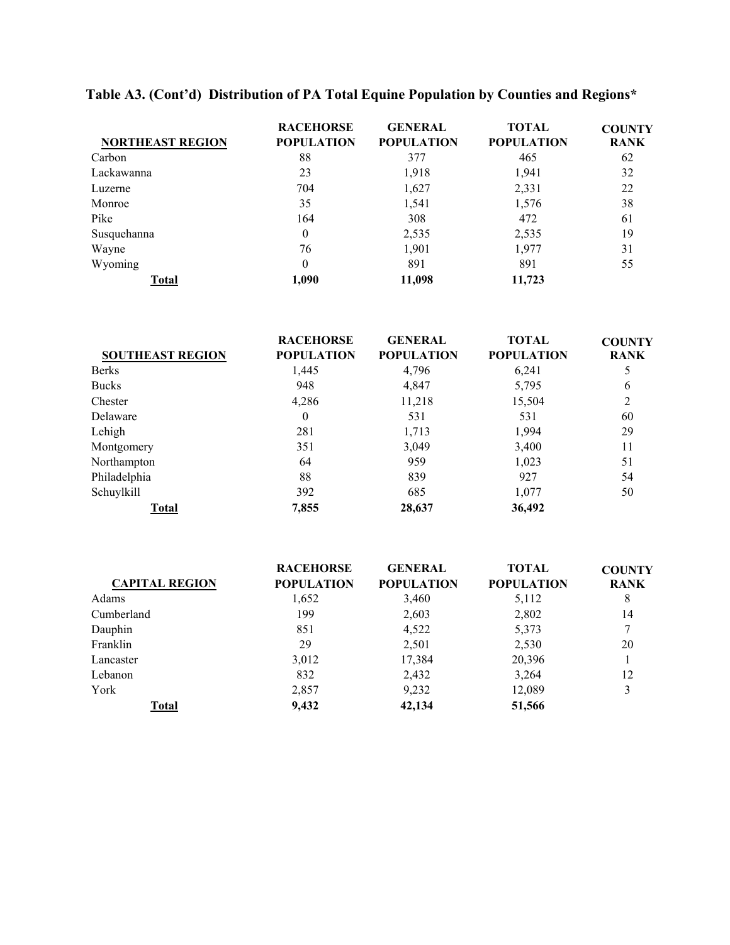| <b>NORTHEAST REGION</b> | <b>RACEHORSE</b><br><b>POPULATION</b> | <b>GENERAL</b><br><b>POPULATION</b> | <b>TOTAL</b><br><b>POPULATION</b> | <b>COUNTY</b><br><b>RANK</b> |
|-------------------------|---------------------------------------|-------------------------------------|-----------------------------------|------------------------------|
| Carbon                  | 88                                    | 377                                 | 465                               | 62                           |
| Lackawanna              | 23                                    | 1,918                               | 1,941                             | 32                           |
| Luzerne                 | 704                                   | 1,627                               | 2,331                             | 22                           |
| Monroe                  | 35                                    | 1,541                               | 1,576                             | 38                           |
| Pike                    | 164                                   | 308                                 | 472                               | 61                           |
| Susquehanna             | 0                                     | 2,535                               | 2,535                             | 19                           |
| Wayne                   | 76                                    | 1,901                               | 1,977                             | 31                           |
| Wyoming                 | 0                                     | 891                                 | 891                               | 55                           |
| Total                   | 1.090                                 | 11,098                              | 11,723                            |                              |

# **Table A3. (Cont'd) Distribution of PA Total Equine Population by Counties and Regions\***

|                         | <b>RACEHORSE</b>  | <b>GENERAL</b>    | <b>TOTAL</b>      | <b>COUNTY</b> |
|-------------------------|-------------------|-------------------|-------------------|---------------|
| <b>SOUTHEAST REGION</b> | <b>POPULATION</b> | <b>POPULATION</b> | <b>POPULATION</b> | <b>RANK</b>   |
| <b>Berks</b>            | 1,445             | 4,796             | 6,241             |               |
| <b>Bucks</b>            | 948               | 4,847             | 5,795             | 6             |
| Chester                 | 4,286             | 11,218            | 15,504            |               |
| Delaware                | $\overline{0}$    | 531               | 531               | 60            |
| Lehigh                  | 281               | 1,713             | 1,994             | 29            |
| Montgomery              | 351               | 3,049             | 3,400             | 11            |
| Northampton             | 64                | 959               | 1,023             | 51            |
| Philadelphia            | 88                | 839               | 927               | 54            |
| Schuylkill              | 392               | 685               | 1,077             | 50            |
| Total                   | 7,855             | 28,637            | 36,492            |               |

|                       | <b>RACEHORSE</b>  | <b>GENERAL</b>    | <b>TOTAL</b>      | <b>COUNTY</b> |
|-----------------------|-------------------|-------------------|-------------------|---------------|
| <b>CAPITAL REGION</b> | <b>POPULATION</b> | <b>POPULATION</b> | <b>POPULATION</b> | <b>RANK</b>   |
| Adams                 | 1,652             | 3,460             | 5,112             | 8             |
| Cumberland            | 199               | 2,603             | 2,802             | 14            |
| Dauphin               | 851               | 4,522             | 5,373             |               |
| Franklin              | 29                | 2,501             | 2,530             | 20            |
| Lancaster             | 3,012             | 17,384            | 20,396            |               |
| Lebanon               | 832               | 2,432             | 3,264             | 12            |
| York                  | 2,857             | 9,232             | 12,089            |               |
| Total                 | 9,432             | 42,134            | 51,566            |               |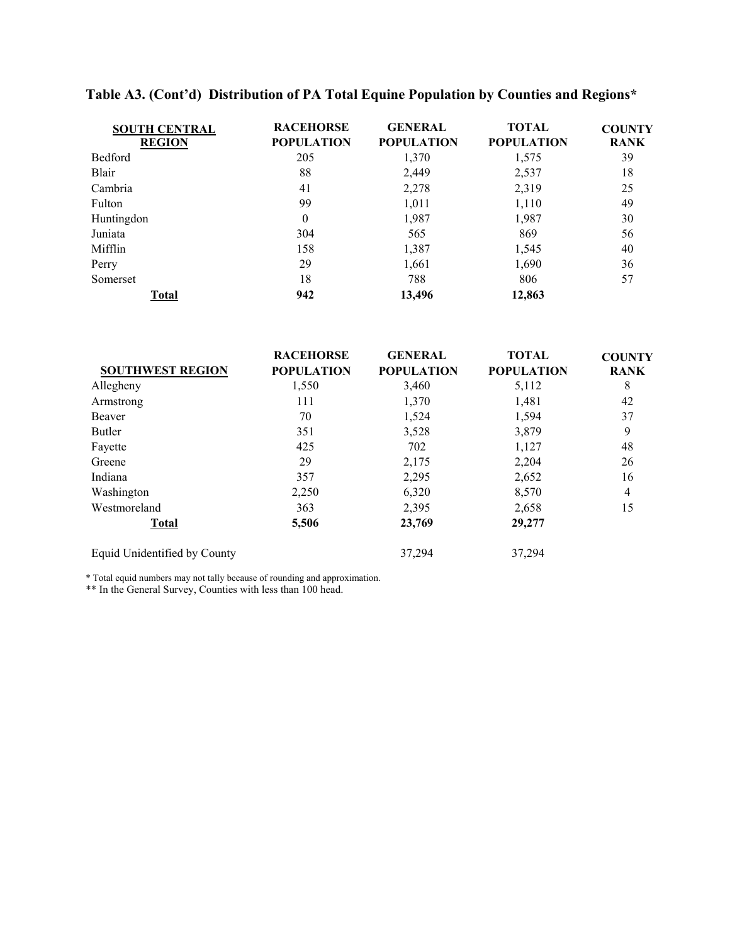| <b>SOUTH CENTRAL</b><br><b>REGION</b> | <b>RACEHORSE</b><br><b>POPULATION</b> | <b>GENERAL</b><br><b>POPULATION</b> | <b>TOTAL</b><br><b>POPULATION</b> | <b>COUNTY</b><br><b>RANK</b> |
|---------------------------------------|---------------------------------------|-------------------------------------|-----------------------------------|------------------------------|
| Bedford                               | 205                                   | 1,370                               | 1,575                             | 39                           |
| Blair                                 | 88                                    | 2,449                               | 2,537                             | 18                           |
| Cambria                               | 41                                    | 2,278                               | 2,319                             | 25                           |
| Fulton                                | 99                                    | 1,011                               | 1,110                             | 49                           |
| Huntingdon                            | $\theta$                              | 1,987                               | 1,987                             | 30                           |
| Juniata                               | 304                                   | 565                                 | 869                               | 56                           |
| Mifflin                               | 158                                   | 1,387                               | 1,545                             | 40                           |
| Perry                                 | 29                                    | 1,661                               | 1,690                             | 36                           |
| Somerset                              | 18                                    | 788                                 | 806                               | 57                           |
| Total                                 | 942                                   | 13,496                              | 12,863                            |                              |

# **Table A3. (Cont'd) Distribution of PA Total Equine Population by Counties and Regions\***

|                              | <b>RACEHORSE</b>  | <b>GENERAL</b>    | <b>TOTAL</b>      | <b>COUNTY</b> |
|------------------------------|-------------------|-------------------|-------------------|---------------|
| <b>SOUTHWEST REGION</b>      | <b>POPULATION</b> | <b>POPULATION</b> | <b>POPULATION</b> | <b>RANK</b>   |
| Allegheny                    | 1,550             | 3,460             | 5,112             | 8             |
| Armstrong                    | 111               | 1,370             | 1,481             | 42            |
| Beaver                       | 70                | 1,524             | 1,594             | 37            |
| Butler                       | 351               | 3,528             | 3,879             | 9             |
| Fayette                      | 425               | 702               | 1,127             | 48            |
| Greene                       | 29                | 2,175             | 2,204             | 26            |
| Indiana                      | 357               | 2,295             | 2,652             | 16            |
| Washington                   | 2,250             | 6,320             | 8,570             | 4             |
| Westmoreland                 | 363               | 2,395             | 2,658             | 15            |
| <b>Total</b>                 | 5,506             | 23,769            | 29,277            |               |
| Equid Unidentified by County |                   | 37,294            | 37,294            |               |

\* Total equid numbers may not tally because of rounding and approximation.

\*\* In the General Survey, Counties with less than 100 head.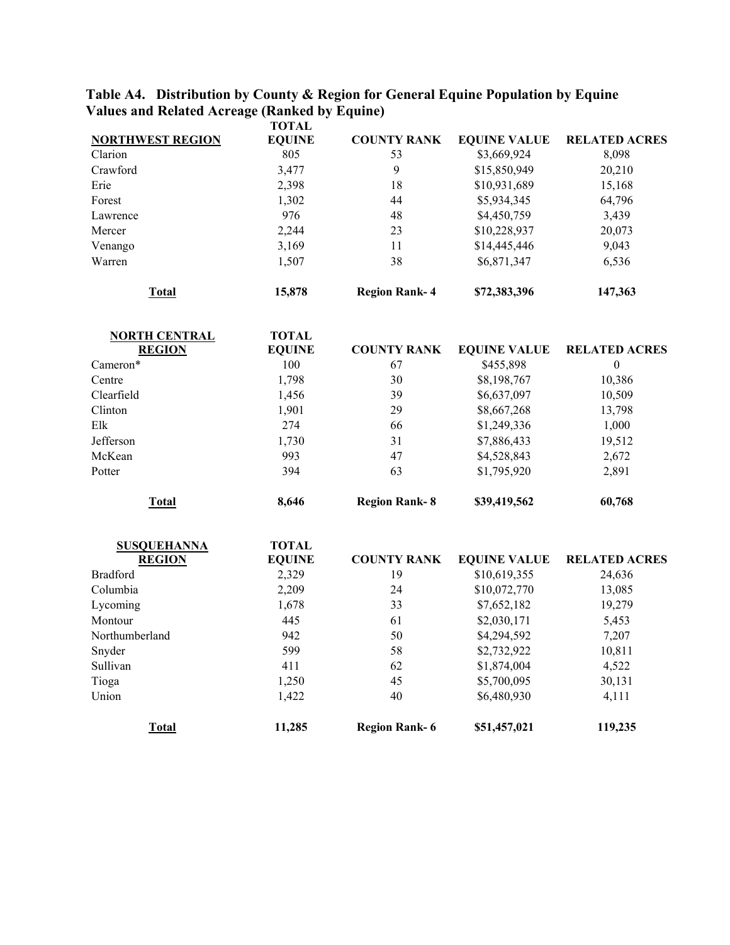#### **Table A4. Distribution by County & Region for General Equine Population by Equine Values and Related Acreage (Ranked by Equine)**

|                         | <b>TOTAL</b>  |                      |                     |                      |
|-------------------------|---------------|----------------------|---------------------|----------------------|
| <b>NORTHWEST REGION</b> | <b>EQUINE</b> | <b>COUNTY RANK</b>   | <b>EQUINE VALUE</b> | <b>RELATED ACRES</b> |
| Clarion                 | 805           | 53                   | \$3,669,924         | 8,098                |
| Crawford                | 3,477         | 9                    | \$15,850,949        | 20,210               |
| Erie                    | 2,398         | 18                   | \$10,931,689        | 15,168               |
| Forest                  | 1,302         | 44                   | \$5,934,345         | 64,796               |
| Lawrence                | 976           | 48                   | \$4,450,759         | 3,439                |
| Mercer                  | 2,244         | 23                   | \$10,228,937        | 20,073               |
| Venango                 | 3,169         | 11                   | \$14,445,446        | 9,043                |
| Warren                  | 1,507         | 38                   | \$6,871,347         | 6,536                |
| Total                   | 15,878        | <b>Region Rank-4</b> | \$72,383,396        | 147,363              |

| <b>NORTH CENTRAL</b><br><b>REGION</b> | TOTAL<br><b>EQUINE</b> | <b>COUNTY RANK</b>   | <b>EQUINE VALUE</b> | <b>RELATED ACRES</b> |
|---------------------------------------|------------------------|----------------------|---------------------|----------------------|
| Cameron <sup>*</sup>                  | 100                    | 67                   | \$455,898           | $\theta$             |
| Centre                                | 1,798                  | 30                   | \$8,198,767         | 10,386               |
| Clearfield                            | 1,456                  | 39                   | \$6,637,097         | 10,509               |
| Clinton                               | 1,901                  | 29                   | \$8,667,268         | 13,798               |
| Elk                                   | 274                    | 66                   | \$1,249,336         | 1,000                |
| Jefferson                             | 1,730                  | 31                   | \$7,886,433         | 19,512               |
| McKean                                | 993                    | 47                   | \$4,528,843         | 2,672                |
| Potter                                | 394                    | 63                   | \$1,795,920         | 2,891                |
| Total                                 | 8.646                  | <b>Region Rank-8</b> | \$39,419,562        | 60,768               |

| <b>SUSQUEHANNA</b> | <b>TOTAL</b>  |                      |                     |                      |
|--------------------|---------------|----------------------|---------------------|----------------------|
| <b>REGION</b>      | <b>EQUINE</b> | <b>COUNTY RANK</b>   | <b>EQUINE VALUE</b> | <b>RELATED ACRES</b> |
| <b>Bradford</b>    | 2,329         | 19                   | \$10,619,355        | 24,636               |
| Columbia           | 2,209         | 24                   | \$10,072,770        | 13,085               |
| Lycoming           | 1,678         | 33                   | \$7,652,182         | 19,279               |
| Montour            | 445           | 61                   | \$2,030,171         | 5,453                |
| Northumberland     | 942           | 50                   | \$4,294,592         | 7,207                |
| Snyder             | 599           | 58                   | \$2,732,922         | 10,811               |
| Sullivan           | 411           | 62                   | \$1,874,004         | 4,522                |
| Tioga              | 1,250         | 45                   | \$5,700,095         | 30,131               |
| Union              | 1,422         | 40                   | \$6,480,930         | 4,111                |
| Total              | 11,285        | <b>Region Rank-6</b> | \$51,457,021        | 119,235              |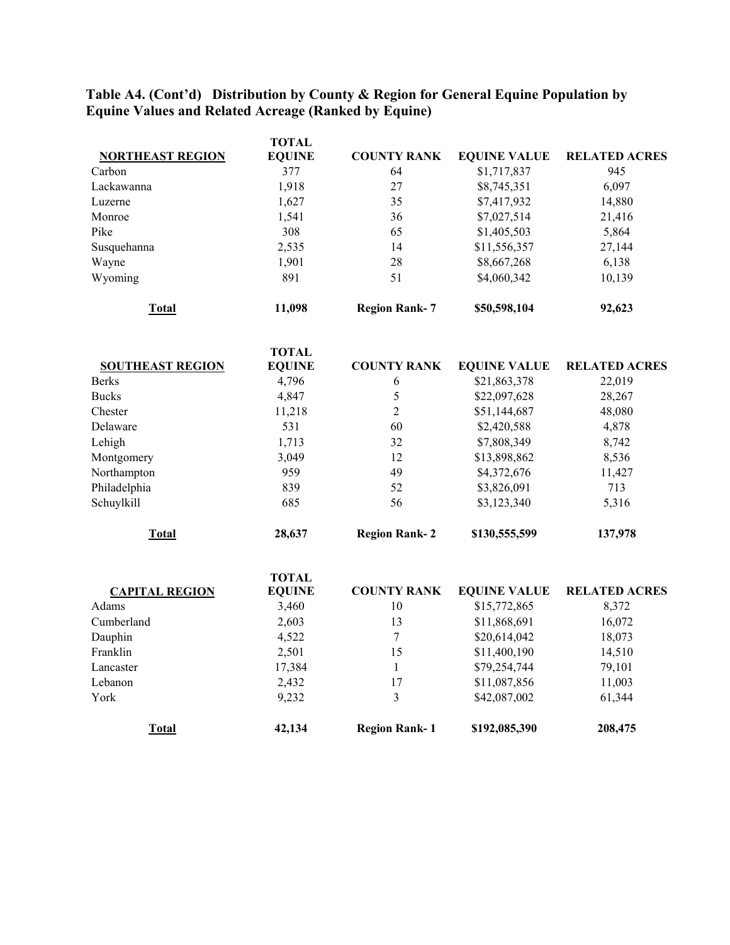## **Table A4. (Cont'd) Distribution by County & Region for General Equine Population by Equine Values and Related Acreage (Ranked by Equine)**

| <b>NORTHEAST REGION</b> | TOTAL<br><b>EQUINE</b> | <b>COUNTY RANK</b> | <b>EQUINE VALUE</b> | <b>RELATED ACRES</b> |
|-------------------------|------------------------|--------------------|---------------------|----------------------|
| Carbon                  | 377                    | 64                 | \$1,717,837         | 945                  |
| Lackawanna              | 1,918                  | 27                 | \$8,745,351         | 6,097                |
| Luzerne                 | 1,627                  | 35                 | \$7,417,932         | 14,880               |
| Monroe                  | 1,541                  | 36                 | \$7,027,514         | 21,416               |
| Pike                    | 308                    | 65                 | \$1,405,503         | 5,864                |
| Susquehanna             | 2,535                  | 14                 | \$11,556,357        | 27,144               |
| Wayne                   | 1,901                  | 28                 | \$8,667,268         | 6,138                |
| Wyoming                 | 891                    | 51                 | \$4,060,342         | 10,139               |

**Total 11,098 Region Rank- 7 \$50,598,104 92,623** 

|                         | <b>TOTAL</b>  |                      |                     |                      |
|-------------------------|---------------|----------------------|---------------------|----------------------|
| <b>SOUTHEAST REGION</b> | <b>EQUINE</b> | <b>COUNTY RANK</b>   | <b>EQUINE VALUE</b> | <b>RELATED ACRES</b> |
| <b>Berks</b>            | 4,796         | 6                    | \$21,863,378        | 22,019               |
| <b>Bucks</b>            | 4,847         |                      | \$22,097,628        | 28,267               |
| Chester                 | 11,218        | 2                    | \$51,144,687        | 48,080               |
| Delaware                | 531           | 60                   | \$2,420,588         | 4,878                |
| Lehigh                  | 1,713         | 32                   | \$7,808,349         | 8,742                |
| Montgomery              | 3,049         | 12                   | \$13,898,862        | 8,536                |
| Northampton             | 959           | 49                   | \$4,372,676         | 11,427               |
| Philadelphia            | 839           | 52                   | \$3,826,091         | 713                  |
| Schuylkill              | 685           | 56                   | \$3,123,340         | 5,316                |
| Total                   | 28,637        | <b>Region Rank-2</b> | \$130,555,599       | 137,978              |

|                       | TOTAL         |                      |                     |                      |
|-----------------------|---------------|----------------------|---------------------|----------------------|
| <b>CAPITAL REGION</b> | <b>EQUINE</b> | <b>COUNTY RANK</b>   | <b>EQUINE VALUE</b> | <b>RELATED ACRES</b> |
| Adams                 | 3,460         | 10                   | \$15,772,865        | 8,372                |
| Cumberland            | 2,603         | 13                   | \$11,868,691        | 16,072               |
| Dauphin               | 4,522         |                      | \$20,614,042        | 18,073               |
| Franklin              | 2,501         | 15                   | \$11,400,190        | 14,510               |
| Lancaster             | 17,384        |                      | \$79,254,744        | 79,101               |
| Lebanon               | 2,432         | 17                   | \$11,087,856        | 11,003               |
| York                  | 9,232         |                      | \$42,087,002        | 61,344               |
| Total                 | 42,134        | <b>Region Rank-1</b> | \$192,085,390       | 208,475              |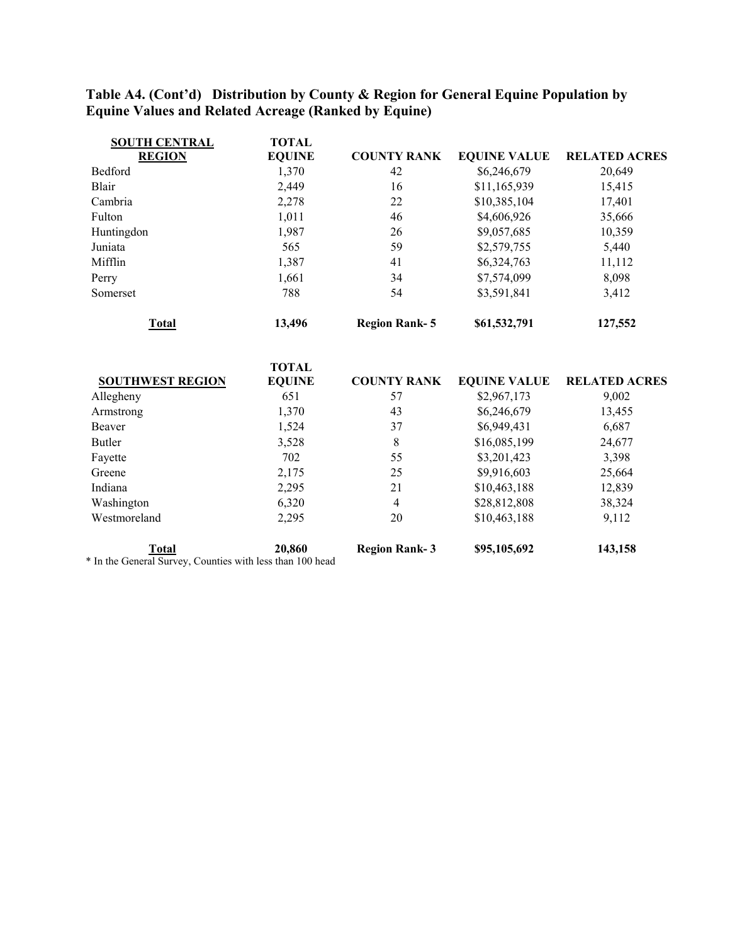# **Table A4. (Cont'd) Distribution by County & Region for General Equine Population by Equine Values and Related Acreage (Ranked by Equine)**

| <b>SOUTH CENTRAL</b><br><b>REGION</b> | <b>TOTAL</b><br><b>EQUINE</b> | <b>COUNTY RANK</b>   | <b>EQUINE VALUE</b> | <b>RELATED ACRES</b> |
|---------------------------------------|-------------------------------|----------------------|---------------------|----------------------|
| Bedford                               | 1,370                         | 42                   | \$6,246,679         | 20,649               |
| <b>Blair</b>                          | 2,449                         | 16                   | \$11,165,939        | 15,415               |
| Cambria                               | 2,278                         | 22                   | \$10,385,104        | 17,401               |
| Fulton                                | 1,011                         | 46                   | \$4,606,926         | 35,666               |
| Huntingdon                            | 1,987                         | 26                   | \$9,057,685         | 10,359               |
| Juniata                               | 565                           | 59                   | \$2,579,755         | 5,440                |
| Mifflin                               | 1,387                         | 41                   | \$6,324,763         | 11,112               |
| Perry                                 | 1,661                         | 34                   | \$7,574,099         | 8,098                |
| Somerset                              | 788                           | 54                   | \$3,591,841         | 3,412                |
| <b>Total</b>                          | 13,496                        | <b>Region Rank-5</b> | \$61,532,791        | 127,552              |
| <b>SOUTHWEST REGION</b>               | <b>TOTAL</b><br><b>EQUINE</b> | <b>COUNTY RANK</b>   | <b>EQUINE VALUE</b> | <b>RELATED ACRES</b> |
| Allegheny                             | 651                           | 57                   | \$2,967,173         | 9,002                |
| Armstrong                             | 1,370                         | 43                   | \$6,246,679         | 13,455               |
| Beaver                                | 1,524                         | 37                   | \$6,949,431         | 6,687                |
| <b>Butler</b>                         | 3,528                         | 8                    | \$16,085,199        | 24,677               |
| Fayette                               | 702                           | 55                   | \$3,201,423         | 3,398                |
| Greene                                | 2,175                         | 25                   | \$9,916,603         | 25,664               |
| Indiana                               | 2,295                         | 21                   | \$10,463,188        | 12,839               |
| Washington                            | 6,320                         | $\overline{4}$       | \$28,812,808        | 38,324               |
| Westmoreland                          | 2,295                         | 20                   | \$10,463,188        | 9,112                |
| <b>Total</b>                          | 20,860                        | <b>Region Rank-3</b> | \$95,105,692        | 143,158              |

\* In the General Survey, Counties with less than 100 head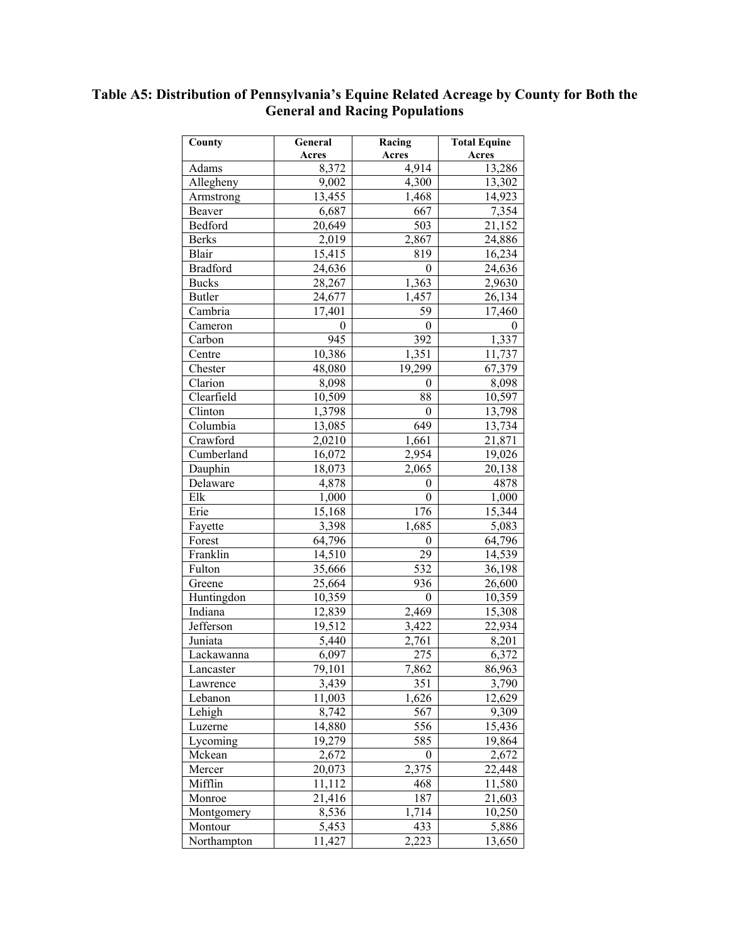## **Table A5: Distribution of Pennsylvania's Equine Related Acreage by County for Both the General and Racing Populations**

| County                       | General<br>Acres | Racing<br>Acres    | <b>Total Equine</b><br>Acres |
|------------------------------|------------------|--------------------|------------------------------|
| Adams                        | 8,372            | 4,914              | 13,286                       |
| Allegheny                    | 9,002            | 4,300              | 13,302                       |
| Armstrong                    | 13,455           | 1,468              | 14,923                       |
| Beaver                       | 6,687            | 667                | 7,354                        |
| Bedford                      | 20,649           | $\overline{503}$   | 21,152                       |
| <b>Berks</b>                 | 2,019            | 2,867              | 24,886                       |
| Blair                        | 15,415           | 819                | 16,234                       |
| <b>Bradford</b>              | 24,636           | $\mathbf{0}$       | 24,636                       |
| <b>Bucks</b>                 | 28,267           | 1,363              | 2,9630                       |
| <b>Butler</b>                | 24,677           | 1,457              | 26,134                       |
| Cambria                      | 17,401           | 59                 | 17,460                       |
| Cameron                      | $\boldsymbol{0}$ | $\mathbf{0}$       | 0                            |
| Carbon                       | $\overline{945}$ | 392                | 1,337                        |
| Centre                       | 10,386           | 1,351              | 11,737                       |
| Chester                      | 48,080           | 19,299             | 67,379                       |
| Clarion                      | 8,098            | $\boldsymbol{0}$   | 8,098                        |
| Clearfield                   | 10,509           | 88                 | 10,597                       |
| $\overline{\text{C}}$ linton | 1,3798           | $\boldsymbol{0}$   | 13,798                       |
| Columbia                     | 13,085           | 649                | 13,734                       |
| Crawford                     | 2,0210           | 1,661              | 21,871                       |
| Cumberland                   | 16,072           | 2,954              | 19,026                       |
| Dauphin                      | 18,073           | 2,065              | 20,138                       |
| Delaware                     | 4,878            | $\boldsymbol{0}$   | 4878                         |
| Elk                          | 1,000            | $\mathbf{0}$       | 1,000                        |
| Erie                         | 15,168           | 176                | 15,344                       |
| Fayette                      | 3,398            | $\overline{1,685}$ | 5,083                        |
| Forest                       | 64,796           | $\boldsymbol{0}$   | 64,796                       |
| Franklin                     | 14,510           | $\overline{29}$    | 14,539                       |
| Fulton                       | 35,666           | $\overline{532}$   | 36,198                       |
| Greene                       | 25,664           | 936                | 26,600                       |
| Huntingdon                   | 10,359           | $\boldsymbol{0}$   | 10,359                       |
| Indiana                      | 12,839           | 2,469              | 15,308                       |
| Jefferson                    | 19,512           | 3,422              | 22,934                       |
| Juniata                      | 5,440            | 2,761              | 8,201                        |
| Lackawanna                   | 6,097            | 275                | 6,372                        |
| Lancaster                    | 79,101           | 7,862              | 86,963                       |
| Lawrence                     | 3,439            | 351                | 3,790                        |
| Lebanon                      | 11,003           | 1,626              | 12,629                       |
| Lehigh                       | 8,742            | 567                | 9,309                        |
| Luzerne                      | 14,880           | 556                | 15,436                       |
| Lycoming                     | 19,279           | 585                | 19,864                       |
| Mckean                       | 2,672            | $\boldsymbol{0}$   | 2,672                        |
| Mercer                       | 20,073           | 2,375              | 22,448                       |
| Mifflin                      | 11,112           | 468                | 11,580                       |
| Monroe                       | 21,416           | 187                | 21,603                       |
| Montgomery                   | 8,536            | $\overline{1,714}$ | 10,250                       |
| Montour                      | 5,453            | 433                | 5,886                        |
| Northampton                  | 11,427           | 2,223              | 13,650                       |